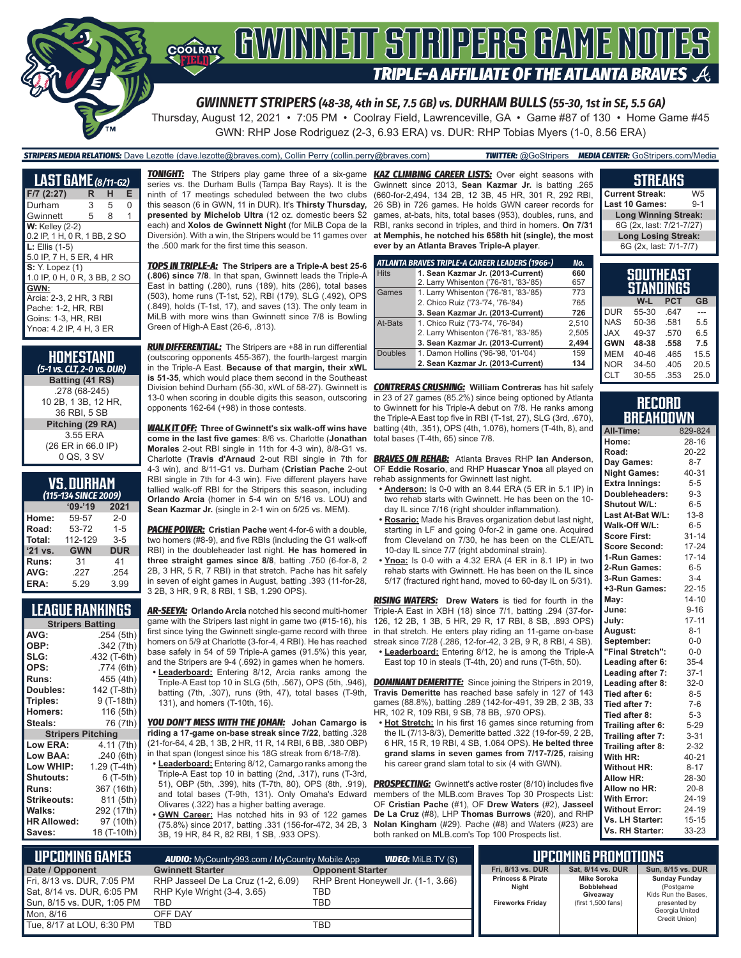# **SOORAY ENWINNETT STAIPERS GANNE NOTES TRIPLE-A AFFILIATE OF THE ATLANTA BRAVES**

*GWINNETT STRIPERS (48-38, 4th in SE, 7.5 GB) vs. DURHAM BULLS (55-30, 1st in SE, 5.5 GA)*

Thursday, August 12, 2021 • 7:05 PM • Coolray Field, Lawrenceville, GA • Game #87 of 130 • Home Game #45 GWN: RHP Jose Rodriguez (2-3, 6.93 ERA) vs. DUR: RHP Tobias Myers (1-0, 8.56 ERA)

#### *STRIPERS MEDIA RELATIONS:* Dave Lezotte (dave.lezotte@braves.com), Collin Perry (collin.perry@braves.com) *TWITTER:* @GoStripers *MEDIA CENTER:* GoStripers.com/Media

| <b>LAST GAME</b> (8/11-G2)   |   |   |   |
|------------------------------|---|---|---|
| $F/7$ (2:27)                 | R | н | Е |
| Durham                       | 3 | 5 | O |
| Gwinnett                     | 5 | 8 | 1 |
| <b>W: Kelley (2-2)</b>       |   |   |   |
| 0.2 IP, 1 H, 0 R, 1 BB, 2 SO |   |   |   |
| $L:$ Ellis $(1-5)$           |   |   |   |
| 5.0 IP, 7 H, 5 ER, 4 HR      |   |   |   |
| <b>S:</b> Y. Lopez (1)       |   |   |   |
| 1.0 IP, 0 H, 0 R, 3 BB, 2 SO |   |   |   |
| GWN:                         |   |   |   |
| Arcia: 2-3, 2 HR, 3 RBI      |   |   |   |
| Pache: 1-2, HR, RBI          |   |   |   |
| Goins: 1-3, HR, RBI          |   |   |   |
| Ynoa: 4.2 IP, 4 H, 3 ER      |   |   |   |

| HOMESTAND<br>(5-1 vs. CLT, 2-0 vs. DUR) |
|-----------------------------------------|
| Batting (41 RS)                         |
| .278 (68-245)                           |
| 10 2B, 1 3B, 12 HR,                     |
| 36 RBI, 5 SB                            |
| Pitching (29 RA)                        |
| 3.55 ERA                                |
| (26 ER in 66.0 IP)                      |
| 0 QS, 3 SV                              |

### **VS. DURHAM**

|           | (115-134 SINCE 2009) |            |
|-----------|----------------------|------------|
|           | $09 - 19$            | 2021       |
| Home:     | 59-57                | $2 - 0$    |
| Road:     | 53-72                | $1 - 5$    |
| Total:    | 112-129              | $3 - 5$    |
| $'21$ vs. | <b>GWN</b>           | <b>DUR</b> |
| Runs:     | 31                   | 41         |
| AVG:      | .227                 | .254       |
| ERA:      | 5.29                 | 3.99       |

#### **LEAGUE RANKINGS**

| <b>Stripers Batting</b>  |              |
|--------------------------|--------------|
| AVG:                     | .254(5th)    |
| OBP:                     | .342 (7th)   |
| SLG:                     | .432 (T-6th) |
| OPS:                     | .774 (6th)   |
| <b>Runs:</b>             | 455 (4th)    |
| <b>Doubles:</b>          | 142 (T-8th)  |
| Triples:                 | 9 (T-18th)   |
| <b>Homers:</b>           | 116 (5th)    |
| Steals:                  | 76 (7th)     |
| <b>Stripers Pitching</b> |              |
| <b>Low ERA:</b>          | 4.11 (7th)   |
| Low BAA:                 | .240 (6th)   |
| Low WHIP:                | 1.29 (T-4th) |
| <b>Shutouts:</b>         | 6 (T-5th)    |
| <b>Runs:</b>             | 367 (16th)   |
| <b>Strikeouts:</b>       | 811 (5th)    |
| Walks:                   | 292 (17th)   |
| <b>HR Allowed:</b>       | 97 (10th)    |
| Saves:                   | 18 (T-10th)  |

series vs. the Durham Bulls (Tampa Bay Rays). It is the ninth of 17 meetings scheduled between the two clubs this season (6 in GWN, 11 in DUR). It's **Thirsty Thursday, presented by Michelob Ultra** (12 oz. domestic beers \$2 each) and **Xolos de Gwinnett Night** (for MiLB Copa de la Diversión). With a win, the Stripers would be 11 games over the .500 mark for the first time this season.

*TOPS IN TRIPLE-A:* **The Stripers are a Triple-A best 25-6 (.806) since 7/8**. In that span, Gwinnett leads the Triple-A East in batting (.280), runs (189), hits (286), total bases (503), home runs (T-1st, 52), RBI (179), SLG (.492), OPS (.849), holds (T-1st, 17), and saves (13). The only team in MiLB with more wins than Gwinnett since 7/8 is Bowling Green of High-A East (26-6, .813).

*RUN DIFFERENTIAL:* The Stripers are +88 in run differential (outscoring opponents 455-367), the fourth-largest margin in the Triple-A East. **Because of that margin, their xWL is 51-35**, which would place them second in the Southeast Division behind Durham (55-30, xWL of 58-27). Gwinnett is *CONTRERAS CRUSHING:* **William Contreras** has hit safely 13-0 when scoring in double digits this season, outscoring opponents 162-64 (+98) in those contests.

*WALK IT OFF:* **Three of Gwinnett's six walk-off wins have come in the last five games**: 8/6 vs. Charlotte (**Jonathan Morales** 2-out RBI single in 11th for 4-3 win), 8/8-G1 vs. Charlotte (**Travis d'Arnaud** 2-out RBI single in 7th for 4-3 win), and 8/11-G1 vs. Durham (**Cristian Pache** 2-out RBI single in 7th for 4-3 win). Five different players have tallied walk-off RBI for the Stripers this season, including **Orlando Arcia** (homer in 5-4 win on 5/16 vs. LOU) and **Sean Kazmar Jr.** (single in 2-1 win on 5/25 vs. MEM).

*PACHE POWER:* **Cristian Pache** went 4-for-6 with a double, two homers (#8-9), and five RBIs (including the G1 walk-off RBI) in the doubleheader last night. **He has homered in three straight games since 8/8**, batting .750 (6-for-8, 2 2B, 3 HR, 5 R, 7 RBI) in that stretch. Pache has hit safely in seven of eight games in August, batting .393 (11-for-28, 3 2B, 3 HR, 9 R, 8 RBI, 1 SB, 1.290 OPS).

*AR-SEEYA:* **Orlando Arcia** notched his second multi-homer game with the Stripers last night in game two (#15-16), his first since tying the Gwinnett single-game record with three homers on 5/9 at Charlotte (3-for-4, 4 RBI). He has reached base safely in 54 of 59 Triple-A games (91.5%) this year, and the Stripers are 9-4 (.692) in games when he homers.

**• Leaderboard:** Entering 8/12, Arcia ranks among the Triple-A East top 10 in SLG (5th, .567), OPS (5th, .946), batting (7th, .307), runs (9th, 47), total bases (T-9th, 131), and homers (T-10th, 16).

*YOU DON'T MESS WITH THE JOHAN:* **Johan Camargo is riding a 17-game on-base streak since 7/22**, batting .328 (21-for-64, 4 2B, 1 3B, 2 HR, 11 R, 14 RBI, 6 BB, .380 OBP) in that span (longest since his 18G streak from 6/18-7/8).

**• Leaderboard:** Entering 8/12, Camargo ranks among the Triple-A East top 10 in batting (2nd, .317), runs (T-3rd, 51), OBP (5th, .399), hits (T-7th, 80), OPS (8th, .919), and total bases (T-9th, 131). Only Omaha's Edward Olivares (.322) has a higher batting average.

**• GWN Career:** Has notched hits in 93 of 122 games (75.8%) since 2017, batting .331 (156-for-472, 34 2B, 3 3B, 19 HR, 84 R, 82 RBI, 1 SB, .933 OPS).

*TONIGHT:* The Stripers play game three of a six-game *KAZ CLIMBING CAREER LISTS:* Over eight seasons with Gwinnett since 2013, **Sean Kazmar Jr.** is batting .265 (660-for-2,494, 134 2B, 12 3B, 45 HR, 301 R, 292 RBI, 26 SB) in 726 games. He holds GWN career records for games, at-bats, hits, total bases (953), doubles, runs, and RBI, ranks second in triples, and third in homers. **On 7/31 at Memphis, he notched his 658th hit (single), the most ever by an Atlanta Braves Triple-A player**.

|                | ATLANTA BRAVES TRIPLE-A CAREER LEADERS (1966-) | No.   |
|----------------|------------------------------------------------|-------|
| <b>Hits</b>    | 1. Sean Kazmar Jr. (2013-Current)              | 660   |
|                | 2. Larry Whisenton ('76-'81, '83-'85)          | 657   |
| Games          | 1. Larry Whisenton ('76-'81, '83-'85)          | 773   |
|                | 2. Chico Ruiz ('73-'74, '76-'84)               | 765   |
|                | 3. Sean Kazmar Jr. (2013-Current)              | 726   |
| At-Bats        | 1. Chico Ruiz ('73-'74, '76-'84)               | 2.510 |
|                | 2. Larry Whisenton ('76-'81, '83-'85)          | 2.505 |
|                | 3. Sean Kazmar Jr. (2013-Current)              | 2.494 |
| <b>Doubles</b> | 1. Damon Hollins ('96-'98, '01-'04)            | 159   |
|                | 2. Sean Kazmar Jr. (2013-Current)              | 134   |

in 23 of 27 games (85.2%) since being optioned by Atlanta to Gwinnett for his Triple-A debut on 7/8. He ranks among the Triple-A East top five in RBI (T-1st, 27), SLG (3rd, .670), batting (4th, .351), OPS (4th, 1.076), homers (T-4th, 8), and total bases (T-4th, 65) since 7/8.

*BRAVES ON REHAB:* Atlanta Braves RHP **Ian Anderson**, OF **Eddie Rosario**, and RHP **Huascar Ynoa** all played on rehab assignments for Gwinnett last night.

- **• Anderson:** Is 0-0 with an 8.44 ERA (5 ER in 5.1 IP) in two rehab starts with Gwinnett. He has been on the 10 day IL since 7/16 (right shoulder inflammation).
- **• Rosario:** Made his Braves organization debut last night, starting in LF and going 0-for-2 in game one. Acquired from Cleveland on 7/30, he has been on the CLE/ATL 10-day IL since 7/7 (right abdominal strain).
- **• Ynoa:** Is 0-0 with a 4.32 ERA (4 ER in 8.1 IP) in two rehab starts with Gwinnett. He has been on the IL since 5/17 (fractured right hand, moved to 60-day IL on 5/31).

*RISING WATERS:* **Drew Waters** is tied for fourth in the Triple-A East in XBH (18) since 7/1, batting .294 (37-for-126, 12 2B, 1 3B, 5 HR, 29 R, 17 RBI, 8 SB, .893 OPS) in that stretch. He enters play riding an 11-game on-base streak since 7/28 (.286, 12-for-42, 3 2B, 9 R, 8 RBI, 4 SB).

**• Leaderboard:** Entering 8/12, he is among the Triple-A East top 10 in steals (T-4th, 20) and runs (T-6th, 50).

**DOMINANT DEMERITTE:** Since joining the Stripers in 2019, **Travis Demeritte** has reached base safely in 127 of 143 games (88.8%), batting .289 (142-for-491, 39 2B, 2 3B, 33 HR, 102 R, 109 RBI, 9 SB, 78 BB, .970 OPS).

**• Hot Stretch:** In his first 16 games since returning from the IL (7/13-8/3), Demeritte batted .322 (19-for-59, 2 2B, 6 HR, 15 R, 19 RBI, 4 SB, 1.064 OPS). **He belted three grand slams in seven games from 7/17-7/25**, raising his career grand slam total to six (4 with GWN).

**PROSPECTING:** Gwinnett's active roster (8/10) includes five members of the MLB.com Braves Top 30 Prospects List: OF **Cristian Pache** (#1), OF **Drew Waters** (#2), **Jasseel De La Cruz** (#8), LHP **Thomas Burrows** (#20), and RHP **Nolan Kingham** (#29). Pache (#8) and Waters (#23) are both ranked on MLB.com's Top 100 Prospects list.

#### **Current Streak:** W5<br>**Last 10 Games:** 9-1 **Last 10 Games: Long Winning Streak:** 6G (2x, last: 7/21-7/27) **Long Losing Streak:** 6G (2x, last: 7/1-7/7)

**STREAKS**

|            | SOUTHEAST<br>STANDINGS |            |           |
|------------|------------------------|------------|-----------|
|            | W-L                    | <b>PCT</b> | <b>GB</b> |
| <b>DUR</b> | 55-30                  | .647       |           |
| <b>NAS</b> | 50-36                  | .581       | 5.5       |
| <b>XAL</b> | 49-37                  | .570       | 6.5       |
| <b>GWN</b> | 48-38                  | .558       | 7.5       |
| <b>MEM</b> | 40-46                  | .465       | 15.5      |
| <b>NOR</b> | 34-50                  | .405       | 20.5      |
| <b>CLT</b> | 30-55                  | .353       | 25.0      |

#### **RECORD BREAKDOWN**

| All-Time:             | 829-824   |
|-----------------------|-----------|
| Home:                 | $28 - 16$ |
| Road:                 | 20-22     |
| Day Games:            | 8-7       |
| <b>Night Games:</b>   | 40-31     |
| <b>Extra Innings:</b> | $5 - 5$   |
| Doubleheaders:        | $9 - 3$   |
| Shutout W/L:          | $6 - 5$   |
| Last At-Bat W/L:      | $13 - 8$  |
| Walk-Off W/L:         | $6-5$     |
| <b>Score First:</b>   | $31 - 14$ |
| <b>Score Second:</b>  | $17 - 24$ |
| 1-Run Games:          | $17 - 14$ |
| 2-Run Games:          | $6 - 5$   |
| 3-Run Games:          | $3 - 4$   |
| +3-Run Games:         | $22 - 15$ |
| May:                  | $14 - 10$ |
| June:                 | $9 - 16$  |
| July:                 | $17 - 11$ |
| August:               | $8 - 1$   |
| September:            | $0-0$     |
| "Final Stretch":      | $0-0$     |
| Leading after 6:      | $35 - 4$  |
| Leading after 7:      | $37-1$    |
| Leading after 8:      | $32-0$    |
| Tied after 6:         | $8 - 5$   |
| Tied after 7:         | $7-6$     |
| Tied after 8:         | $5 - 3$   |
| Trailing after 6:     | $5 - 29$  |
| Trailing after 7:     | $3 - 31$  |
| Trailing after 8:     | $2 - 32$  |
| With HR:              | 40-21     |
| <b>Without HR:</b>    | $8 - 17$  |
| <b>Allow HR:</b>      | 28-30     |
| Allow no HR:          | $20 - 8$  |
| <b>With Error:</b>    | 24-19     |
| <b>Without Error:</b> | 24-19     |
| Vs. LH Starter:       | $15 - 15$ |
| Vs. RH Starter:       | 33-23     |

| I UPCOMING GAMES I                                       | <b>AUDIO:</b> MyCountry993.com / MyCountry Mobile App             | <b>VIDEO:</b> Milb.TV (\$)                 |  |                                       | <b>UPCOMING PROMOTIONS</b>                   |
|----------------------------------------------------------|-------------------------------------------------------------------|--------------------------------------------|--|---------------------------------------|----------------------------------------------|
| Date / Opponent                                          | <b>Gwinnett Starter</b>                                           | <b>Opponent Starter</b>                    |  | Fri. 8/13 vs. DUR                     | Sat. 8/14 vs. DUR                            |
| Fri, 8/13 vs. DUR, 7:05 PM<br>Sat, 8/14 vs. DUR, 6:05 PM | RHP Jasseel De La Cruz (1-2, 6.09)<br>RHP Kyle Wright (3-4, 3.65) | RHP Brent Honeywell Jr. (1-1, 3.66)<br>TBD |  | <b>Princess &amp; Pirate</b><br>Night | Mike Soroka<br><b>Bobblehead</b><br>Giveaway |
| Sun, 8/15 vs. DUR, 1:05 PM<br>Mon. 8/16                  | TBD<br>OFF DAY                                                    | TBD                                        |  | <b>Fireworks Fridav</b>               | (first 1,500 fans)                           |
| Tue, 8/17 at LOU, 6:30 PM                                | <b>TBD</b>                                                        | TBD                                        |  |                                       |                                              |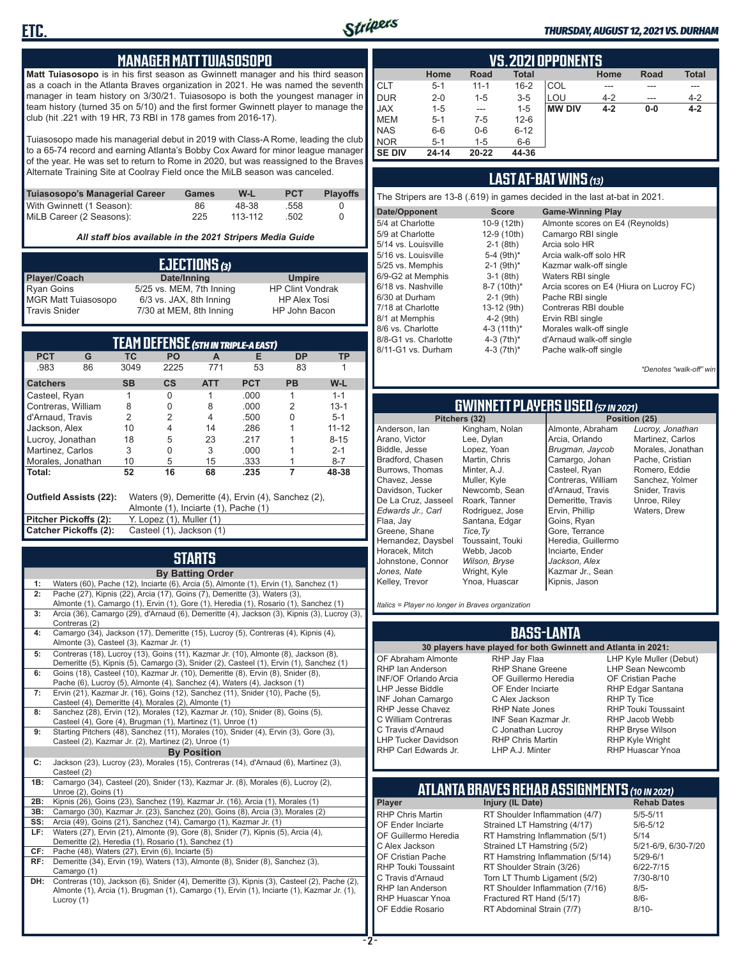

#### *THURSDAY, AUGUST 12, 2021 VS. DURHAM*

#### **MANAGER MATT TUIASOSOPO**

**Matt Tuiasosopo** is in his first season as Gwinnett manager and his third season as a coach in the Atlanta Braves organization in 2021. He was named the seventh manager in team history on 3/30/21. Tuiasosopo is both the youngest manager in team history (turned 35 on 5/10) and the first former Gwinnett player to manage the club (hit .221 with 19 HR, 73 RBI in 178 games from 2016-17).

Tuiasosopo made his managerial debut in 2019 with Class-A Rome, leading the club to a 65-74 record and earning Atlanta's Bobby Cox Award for minor league manager of the year. He was set to return to Rome in 2020, but was reassigned to the Braves Alternate Training Site at Coolray Field once the MiLB season was canceled.

| Tuiasosopo's Managerial Career | Games | W-L     | <b>PCT</b> | <b>Plavoffs</b> |
|--------------------------------|-------|---------|------------|-----------------|
| With Gwinnett (1 Season):      | 86    | 48-38   | .558       |                 |
| MiLB Career (2 Seasons):       | 225   | 113-112 | .502       |                 |

*All staff bios available in the 2021 Stripers Media Guide*

|                            | EJECTIONS (3)            |                         |
|----------------------------|--------------------------|-------------------------|
| Player/Coach               | Date/Inning              | <b>Umpire</b>           |
| <b>Ryan Goins</b>          | 5/25 vs. MEM, 7th Inning | <b>HP Clint Vondrak</b> |
| <b>MGR Matt Tuiasosopo</b> | 6/3 vs. JAX, 8th Inning  | <b>HP Alex Tosi</b>     |
| <b>Travis Snider</b>       | 7/30 at MEM, 8th Inning  | HP John Bacon           |

|                       |                        |                |                                      |            | TEAM DEFENSE (5TH IN TRIPLE-A EAST)                |           |           |
|-----------------------|------------------------|----------------|--------------------------------------|------------|----------------------------------------------------|-----------|-----------|
| <b>PCT</b>            | G                      | <b>TC</b>      | <b>PO</b>                            | A          | Е                                                  | <b>DP</b> | ТP        |
| .983                  | 86                     | 3049           | 2225                                 | 771        | 53                                                 | 83        |           |
| <b>Catchers</b>       |                        | <b>SB</b>      | $\mathsf{cs}$                        | <b>ATT</b> | <b>PCT</b>                                         | <b>PB</b> | W-L       |
| Casteel, Ryan         |                        |                | O                                    |            | .000                                               |           | $1 - 1$   |
| Contreras, William    |                        | 8              | 0                                    | 8          | .000                                               | 2         | $13 - 1$  |
| d'Arnaud, Travis      |                        | $\overline{2}$ | 2                                    | 4          | .500                                               | U         | $5 - 1$   |
| Jackson, Alex         |                        | 10             | 4                                    | 14         | .286                                               |           | $11 - 12$ |
| Lucroy, Jonathan      |                        | 18             | 5                                    | 23         | .217                                               |           | $8 - 15$  |
| Martinez, Carlos      |                        | 3              | 0                                    | 3          | .000                                               |           | $2 - 1$   |
| Morales, Jonathan     |                        | 10             | 5                                    | 15         | .333                                               |           | $8 - 7$   |
| Total:                |                        | 52             | 16                                   | 68         | .235                                               | 7         | 48-38     |
|                       | Outfield Assists (22): |                | Almonte (1), Inciarte (1), Pache (1) |            | Waters (9), Demeritte (4), Ervin (4), Sanchez (2), |           |           |
| Pitcher Pickoffs (2): |                        |                | Y. Lopez (1), Muller (1)             |            |                                                    |           |           |
| Catcher Pickoffs (2): |                        |                | Casteel (1), Jackson (1)             |            |                                                    |           |           |

## **STARTS**

|     | <b>By Batting Order</b>                                                                                                                |
|-----|----------------------------------------------------------------------------------------------------------------------------------------|
| 1:  | Waters (60), Pache (12), Inciarte (6), Arcia (5), Almonte (1), Ervin (1), Sanchez (1)                                                  |
| 2:  | Pache (27), Kipnis (22), Arcia (17), Goins (7), Demeritte (3), Waters (3),                                                             |
|     | Almonte (1), Camargo (1), Ervin (1), Gore (1), Heredia (1), Rosario (1), Sanchez (1)                                                   |
| 3:  | Arcia (36), Camargo (29), d'Arnaud (6), Demeritte (4), Jackson (3), Kipnis (3), Lucroy (3),                                            |
|     | Contreras (2)                                                                                                                          |
| 4:  | Camargo (34), Jackson (17), Demeritte (15), Lucroy (5), Contreras (4), Kipnis (4),                                                     |
|     | Almonte (3), Casteel (3), Kazmar Jr. (1)                                                                                               |
| 5:  | Contreras (18), Lucroy (13), Goins (11), Kazmar Jr. (10), Almonte (8), Jackson (8),                                                    |
|     | Demeritte (5), Kipnis (5), Camargo (3), Snider (2), Casteel (1), Ervin (1), Sanchez (1)                                                |
| 6:  | Goins (18), Casteel (10), Kazmar Jr. (10), Demeritte (8), Ervin (8), Snider (8),                                                       |
| 7:  | Pache (6), Lucroy (5), Almonte (4), Sanchez (4), Waters (4), Jackson (1)                                                               |
|     | Ervin (21), Kazmar Jr. (16), Goins (12), Sanchez (11), Snider (10), Pache (5),<br>Casteel (4), Demeritte (4), Morales (2), Almonte (1) |
| 8:  | Sanchez (28), Ervin (12), Morales (12), Kazmar Jr. (10), Snider (8), Goins (5),                                                        |
|     | Casteel (4), Gore (4), Brugman (1), Martinez (1), Unroe (1)                                                                            |
| 9:  | Starting Pitchers (48), Sanchez (11), Morales (10), Snider (4), Ervin (3), Gore (3),                                                   |
|     | Casteel (2), Kazmar Jr. (2), Martinez (2), Unroe (1)                                                                                   |
|     | <b>By Position</b>                                                                                                                     |
| C:  | Jackson (23), Lucroy (23), Morales (15), Contreras (14), d'Arnaud (6), Martinez (3),                                                   |
|     | Casteel (2)                                                                                                                            |
| 1B: | Camargo (34), Casteel (20), Snider (13), Kazmar Jr. (8), Morales (6), Lucroy (2),                                                      |
|     | Unroe (2), Goins (1)                                                                                                                   |
| 2B: | Kipnis (26), Goins (23), Sanchez (19), Kazmar Jr. (16), Arcia (1), Morales (1)                                                         |
| 3B: | Camargo (30), Kazmar Jr. (23), Sanchez (20), Goins (8), Arcia (3), Morales (2)                                                         |
| SS: | Arcia (49), Goins (21), Sanchez (14), Camargo (1), Kazmar Jr. (1)                                                                      |
| LF: | Waters (27), Ervin (21), Almonte (9), Gore (8), Snider (7), Kipnis (5), Arcia (4),                                                     |
|     | Demeritte (2), Heredia (1), Rosario (1), Sanchez (1)                                                                                   |
| CF: | Pache (48), Waters (27), Ervin (6), Inciarte (5)                                                                                       |
| RF: | Demeritte (34), Ervin (19), Waters (13), Almonte (8), Snider (8), Sanchez (3),<br>Camargo (1)                                          |
| DH: | Contreras (10), Jackson (6), Snider (4), Demeritte (3), Kipnis (3), Casteel (2), Pache (2),                                            |
|     | Almonte (1), Arcia (1), Brugman (1), Camargo (1), Ervin (1), Inciarte (1), Kazmar Jr. (1),                                             |
|     | Lucroy (1)                                                                                                                             |
|     |                                                                                                                                        |
|     |                                                                                                                                        |

|               | VS. 2021 OPPONENTS |          |              |               |         |       |              |  |  |  |  |
|---------------|--------------------|----------|--------------|---------------|---------|-------|--------------|--|--|--|--|
|               | Home               | Road     | <b>Total</b> |               | Home    | Road  | <b>Total</b> |  |  |  |  |
| <b>CLT</b>    | $5 - 1$            | $11 - 1$ | $16 - 2$     | COL           |         |       | ---          |  |  |  |  |
| <b>DUR</b>    | $2 - 0$            | $1 - 5$  | $3-5$        | LOU           | $4 - 2$ | ---   | $4 - 2$      |  |  |  |  |
| <b>JAX</b>    | $1 - 5$            | ---      | $1 - 5$      | <b>MW DIV</b> | $4 - 2$ | $0-0$ | $4 - 2$      |  |  |  |  |
| <b>MEM</b>    | $5 - 1$            | $7-5$    | $12 - 6$     |               |         |       |              |  |  |  |  |
| <b>NAS</b>    | $6-6$              | $0-6$    | $6 - 12$     |               |         |       |              |  |  |  |  |
| <b>NOR</b>    | $5 - 1$            | $1 - 5$  | $6-6$        |               |         |       |              |  |  |  |  |
| <b>SE DIV</b> | $24 - 14$          | 20-22    | 44-36        |               |         |       |              |  |  |  |  |

### **LAST AT-BAT WINS** *(13)*

| The Stripers are 13-8 (.619) in games decided in the last at-bat in 2021. |                          |                                         |  |  |  |  |  |  |  |  |
|---------------------------------------------------------------------------|--------------------------|-----------------------------------------|--|--|--|--|--|--|--|--|
| Date/Opponent                                                             | <b>Score</b>             | <b>Game-Winning Play</b>                |  |  |  |  |  |  |  |  |
| 5/4 at Charlotte                                                          | 10-9 (12th)              | Almonte scores on E4 (Reynolds)         |  |  |  |  |  |  |  |  |
| 5/9 at Charlotte                                                          | 12-9 (10th)              | Camargo RBI single                      |  |  |  |  |  |  |  |  |
| 5/14 vs. Louisville                                                       | $2-1$ (8th)              | Arcia solo HR                           |  |  |  |  |  |  |  |  |
| 5/16 vs. Louisville                                                       | 5-4 $(9th)*$             | Arcia walk-off solo HR                  |  |  |  |  |  |  |  |  |
| 5/25 vs. Memphis                                                          | $2-1$ (9th) <sup>*</sup> | Kazmar walk-off single                  |  |  |  |  |  |  |  |  |
| 6/9-G2 at Memphis                                                         | $3-1$ (8th)              | Waters RBI single                       |  |  |  |  |  |  |  |  |
| 6/18 vs. Nashville                                                        | 8-7 (10th)*              | Arcia scores on E4 (Hiura on Lucroy FC) |  |  |  |  |  |  |  |  |
| 6/30 at Durham                                                            | $2-1$ (9th)              | Pache RBI single                        |  |  |  |  |  |  |  |  |
| 7/18 at Charlotte                                                         | 13-12 (9th)              | Contreras RBI double                    |  |  |  |  |  |  |  |  |
| 8/1 at Memphis                                                            | $4-2$ (9th)              | Ervin RBI single                        |  |  |  |  |  |  |  |  |
| 8/6 vs. Charlotte                                                         | 4-3 $(11th)^*$           | Morales walk-off single                 |  |  |  |  |  |  |  |  |
| 8/8-G1 vs. Charlotte                                                      | 4-3 $(7th)^*$            | d'Arnaud walk-off single                |  |  |  |  |  |  |  |  |
| 8/11-G1 vs. Durham                                                        | 4-3 $(7th)^*$            | Pache walk-off single                   |  |  |  |  |  |  |  |  |
|                                                                           |                          |                                         |  |  |  |  |  |  |  |  |

*\*Denotes "walk-off" win*

## **GWINNETT PLAYERS USED** *(57 IN 2021)*

**Pitchers (32)** Anderson, Ian Arano, Victor Biddle, Jesse Bradford, Chasen Burrows, Thomas Chavez, Jesse Davidson, Tucker De La Cruz, Jasseel *Edwards Jr., Carl* Flaa, Jay Greene, Shane Hernandez, Daysbel Horacek, Mitch Johnstone, Connor *Jones, Nate* Kelley, Trevor Kingham, Nolan Lee, Dylan Lopez, Yoan Martin, Chris Minter, A.J. Muller, Kyle Newcomb, Sean Roark, Tanner Rodriguez, Jose Santana, Edgar *Tice,Ty* Toussaint, Touki Webb, Jacob *Wilson, Bryse* Wright, Kyle Ynoa, Huascar

Almonte, Abraham Arcia, Orlando *Brugman, Jaycob* Camargo, Johan Casteel, Ryan Contreras, William d'Arnaud, Travis Demeritte, Travis Ervin, Phillip Goins, Ryan Gore, Terrance Heredia, Guillermo Inciarte, Ender *Jackson, Alex* Kazmar Jr., Sean Kipnis, Jason

*Lucroy, Jonathan* Martinez, Carlos Morales, Jonathan Pache, Cristian Romero, Eddie Sanchez, Yolmer Snider, Travis Unroe, Riley Waters, Drew

*Italics = Player no longer in Braves organization*

#### **BASS-LANTA**

OF Abraham Almonte RHP Ian Anderson INF/OF Orlando Arcia LHP Jesse Biddle INF Johan Camargo RHP Jesse Chavez C William Contreras C Travis d'Arnaud LHP Tucker Davidson RHP Carl Edwards Jr.

**30 players have played for both Gwinnett and Atlanta in 2021:** RHP Jay Flaa RHP Shane Greene OF Guillermo Heredia OF Ender Inciarte C Alex Jackson RHP Nate Jones INF Sean Kazmar Jr. C Jonathan Lucroy RHP Chris Martin LHP A.J. Minter

LHP Kyle Muller (Debut) LHP Sean Newcomb OF Cristian Pache RHP Edgar Santana RHP Ty Tice RHP Touki Toussaint RHP Jacob Webb RHP Bryse Wilson RHP Kyle Wright RHP Huascar Ynoa

## **ATLANTA BRAVES REHAB ASSIGNMENTS** *(10 IN 2021)*

**Player Injury (IL Date)** 

RHP Chris Martin RT Shoulder Inflammation (4/7) 5/5-5/11<br>CF Ender Inciarte Strained I T Hamstring (4/17) 5/6-5/12 OF Ender Inciarte Strained LT Hamstring (4/17) 5/6-5<br>OF Guillermo Heredia RT Hamstring Inflammation (5/1) 5/14 OF Guillermo Heredia RT Hamstring Inflammation (5/1) 5/14<br>C Alex Jackson Strained LT Hamstring (5/2) 5/21-6/9, 6/30-7/20 C Alex Jackson Strained LT Hamstring (5/2) 5/21-6/9<br>CF Cristian Pache RT Hamstring Inflammation (5/14) 5/29-6/1 OF Cristian Pache RT Hamstring Inflammation (5/14)<br>RHP Touki Toussaint RT Shoulder Strain (3/26) RHP Touki Toussaint RT Shoulder Strain (3/26) 6/22-7/15<br>C Travis d'Arnaud Torn LT Thumb Ligament (5/2) 7/30-8/10 C Travis d'Arnaud Torn LT Thumb Ligament (5/2) 7/30<br>RHP Ian Anderson RT Shoulder Inflammation (7/16) 8/5-RHP Ian Anderson RT Shoulder Inflammation (7/16) 8/5-<br>RHP Huascar Ynoa Fractured RT Hand (5/17) 8/6-RHP Huascar Ynoa Fractured RT Hand (5/17) 8/6- RT Abdominal Strain (7/7)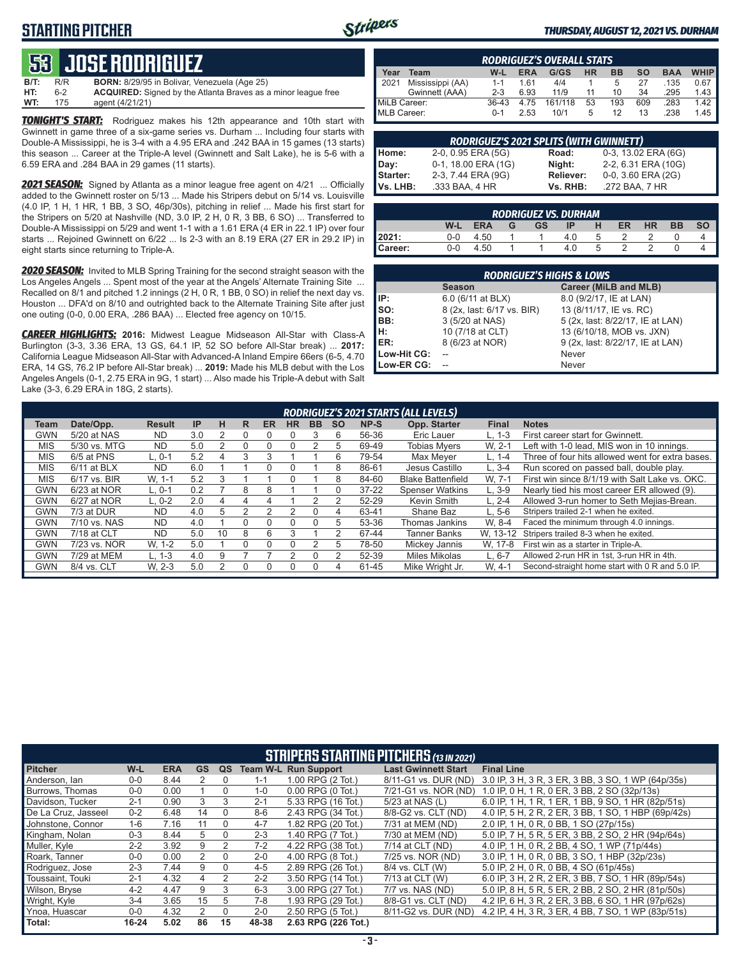### **STARTING PITCHER**



#### *THURSDAY, AUGUST 12, 2021 VS. DURHAM*

## **53****JOSE RODRIGUEZ**

**B/T:** R/R **BORN:** 8/29/95 in Bolivar, Venezuela (Age 25)<br>**HT:** 6-2 **ACQUIRED:** Signed by the Atlanta Braves as 6-2 **ACQUIRED:** Signed by the Atlanta Braves as a minor league free<br>175 agent (4/21/21) **WT:** 175 agent (4/21/21)

*TONIGHT'S START:* Rodriguez makes his 12th appearance and 10th start with Gwinnett in game three of a six-game series vs. Durham ... Including four starts with Double-A Mississippi, he is 3-4 with a 4.95 ERA and .242 BAA in 15 games (13 starts) this season ... Career at the Triple-A level (Gwinnett and Salt Lake), he is 5-6 with a 6.59 ERA and .284 BAA in 29 games (11 starts).

*2021 SEASON:* Signed by Atlanta as a minor league free agent on 4/21 ... Officially added to the Gwinnett roster on 5/13 ... Made his Stripers debut on 5/14 vs. Louisville (4.0 IP, 1 H, 1 HR, 1 BB, 3 SO, 46p/30s), pitching in relief ... Made his first start for the Stripers on 5/20 at Nashville (ND, 3.0 IP, 2 H, 0 R, 3 BB, 6 SO) ... Transferred to Double-A Mississippi on 5/29 and went 1-1 with a 1.61 ERA (4 ER in 22.1 IP) over four starts ... Rejoined Gwinnett on 6/22 ... Is 2-3 with an 8.19 ERA (27 ER in 29.2 IP) in eight starts since returning to Triple-A.

*2020 SEASON:* Invited to MLB Spring Training for the second straight season with the Los Angeles Angels ... Spent most of the year at the Angels' Alternate Training Site ... Recalled on 8/1 and pitched 1.2 innings (2 H, 0 R, 1 BB, 0 SO) in relief the next day vs. Houston ... DFA'd on 8/10 and outrighted back to the Alternate Training Site after just one outing (0-0, 0.00 ERA, .286 BAA) ... Elected free agency on 10/15.

*CAREER HIGHLIGHTS:* **2016:** Midwest League Midseason All-Star with Class-A Burlington (3-3, 3.36 ERA, 13 GS, 64.1 IP, 52 SO before All-Star break) ... **2017:** California League Midseason All-Star with Advanced-A Inland Empire 66ers (6-5, 4.70 ERA, 14 GS, 76.2 IP before All-Star break) ... **2019:** Made his MLB debut with the Los Angeles Angels (0-1, 2.75 ERA in 9G, 1 start) ... Also made his Triple-A debut with Salt Lake (3-3, 6.29 ERA in 18G, 2 starts).

| <b>RODRIGUEZ'S OVERALL STATS</b> |                  |         |            |         |    |           |     |            |             |
|----------------------------------|------------------|---------|------------|---------|----|-----------|-----|------------|-------------|
| Year                             | Team             | W-L     | <b>ERA</b> | G/GS    | HR | <b>BB</b> | so  | <b>BAA</b> | <b>WHIP</b> |
| 2021                             | Mississippi (AA) | $1 - 1$ | 161        | 4/4     |    | 5         | 27  | .135       | 0.67        |
|                                  | Gwinnett (AAA)   | $2 - 3$ | 6.93       | 11/9    | 11 | 10        | 34  | .295       | 1.43        |
| MiLB Career:                     |                  | $36-43$ | 4.75       | 161/118 | 53 | 193       | 609 | .283       | 1.42        |
| MLB Career:                      |                  | $0 - 1$ | 2.53       | 10/1    | 5  | 12        | 13  | .238       | 1.45        |

|                 | <b>RODRIGUEZ'S 2021 SPLITS (WITH GWINNETT)</b> |                  |                     |
|-----------------|------------------------------------------------|------------------|---------------------|
| Home:           | 2-0, 0.95 ERA (5G)                             | Road:            | 0-3, 13.02 ERA (6G) |
| Day:            | 0-1, 18.00 ERA (1G)                            | Night:           | 2-2, 6.31 ERA (10G) |
| <b>Starter:</b> | 2-3, 7.44 ERA (9G)                             | <b>Reliever:</b> | 0-0, 3.60 ERA (2G)  |
| lVs. LHB:       | .333 BAA, 4 HR                                 | Vs. RHB:         | .272 BAA, 7 HR      |

|         |         |            |   |           | <b>RODRIGUEZ VS. DURHAM</b> |   |           |           |           |           |
|---------|---------|------------|---|-----------|-----------------------------|---|-----------|-----------|-----------|-----------|
|         | W-L     | <b>ERA</b> | G | <b>GS</b> | IP.                         | н | <b>ER</b> | <b>HR</b> | <b>BB</b> | <b>SO</b> |
| 2021:   | $0 - 0$ | 4.50       |   |           | 4.0                         | 5 |           |           |           |           |
| Career: | $0-0$   | 4.50       |   |           | 4.0                         | b |           |           |           |           |

| <b>RODRIGUEZ'S HIGHS &amp; LOWS</b> |                            |                                  |  |  |  |  |  |  |  |
|-------------------------------------|----------------------------|----------------------------------|--|--|--|--|--|--|--|
|                                     | <b>Season</b>              | Career (MiLB and MLB)            |  |  |  |  |  |  |  |
| IP:                                 | 6.0 (6/11 at BLX)          | 8.0 (9/2/17, IE at LAN)          |  |  |  |  |  |  |  |
| so:                                 | 8 (2x, last: 6/17 vs. BIR) | 13 (8/11/17, IE vs. RC)          |  |  |  |  |  |  |  |
| IBB:                                | 3 (5/20 at NAS)            | 5 (2x, last: 8/22/17, IE at LAN) |  |  |  |  |  |  |  |
| H:                                  | 10 (7/18 at CLT)           | 13 (6/10/18, MOB vs. JXN)        |  |  |  |  |  |  |  |
| ER:                                 | 8 (6/23 at NOR)            | 9 (2x, last: 8/22/17, IE at LAN) |  |  |  |  |  |  |  |
| Low-Hit CG:                         |                            | Never                            |  |  |  |  |  |  |  |
| Low-ER CG:                          |                            | Never                            |  |  |  |  |  |  |  |

|            | <b>RODRIGUEZ'S 2021 STARTS (ALL LEVELS)</b> |               |     |    |    |           |           |                  |           |           |                          |              |                                                  |
|------------|---------------------------------------------|---------------|-----|----|----|-----------|-----------|------------------|-----------|-----------|--------------------------|--------------|--------------------------------------------------|
| Team       | Date/Opp.                                   | <b>Result</b> | IP  | н  | R. | <b>ER</b> | <b>HR</b> | <b>BB</b>        | <b>SO</b> | NP-S      | Opp. Starter             | <b>Final</b> | <b>Notes</b>                                     |
| GWN        | 5/20 at NAS                                 | <b>ND</b>     | 3.0 | 2  | 0  |           |           |                  | 6         | 56-36     | Eric Lauer               | L. 1-3       | First career start for Gwinnett.                 |
| <b>MIS</b> | 5/30 vs. MTG                                | <b>ND</b>     | 5.0 | 2  | 0  |           |           |                  | 5         | 69-49     | <b>Tobias Mvers</b>      | W. 2-1       | Left with 1-0 lead. MIS won in 10 innings.       |
| <b>MIS</b> | 6/5 at PNS                                  | L. 0-1        | 5.2 | 4  | 3  |           |           |                  | 6         | 79-54     | Max Mever                | L. 1-4       | Three of four hits allowed went for extra bases. |
| <b>MIS</b> | $6/11$ at BLX                               | <b>ND</b>     | 6.0 |    |    |           |           |                  | 8         | 86-61     | Jesus Castillo           | $L.3 - 4$    | Run scored on passed ball, double play.          |
| <b>MIS</b> | 6/17 vs. BIR                                | W. 1-1        | 5.2 | 3  |    |           |           |                  | 8         | 84-60     | <b>Blake Battenfield</b> | W. 7-1       | First win since 8/1/19 with Salt Lake vs. OKC.   |
| GWN        | 6/23 at NOR                                 | $L.0-1$       | 0.2 |    | 8  | 8         |           |                  | N         | $37 - 22$ | <b>Spenser Watkins</b>   | $L.3-9$      | Nearly tied his most career ER allowed (9).      |
| GWN        | 6/27 at NOR                                 | $L. 0-2$      | 2.0 | 4  | 4  | 4         |           |                  |           | 52-29     | Kevin Smith              | L. 2-4       | Allowed 3-run homer to Seth Mejias-Brean.        |
| <b>GWN</b> | 7/3 at DUR                                  | <b>ND</b>     | 4.0 | 5  |    |           |           | $\left( \right)$ | 4         | 63-41     | Shane Baz                | L. 5-6       | Stripers trailed 2-1 when he exited.             |
| <b>GWN</b> | 7/10 vs. NAS                                | <b>ND</b>     | 4.0 |    | U  |           |           |                  | 5         | 53-36     | Thomas Jankins           | W. 8-4       | Faced the minimum through 4.0 innings.           |
| GWN        | 7/18 at CLT                                 | <b>ND</b>     | 5.0 | 10 | 8  | 6         |           |                  | 2         | 67-44     | <b>Tanner Banks</b>      | W. 13-12     | Stripers trailed 8-3 when he exited.             |
| <b>GWN</b> | 7/23 vs. NOR                                | W. 1-2        | 5.0 |    | 0  |           |           |                  | 5         | 78-50     | Mickey Jannis            | W. 17-8      | First win as a starter in Triple-A.              |
| GWN        | 7/29 at MEM                                 | $L. 1-3$      | 4.0 | 9  |    |           |           |                  | 2         | 52-39     | <b>Miles Mikolas</b>     | $L.6 - 7$    | Allowed 2-run HR in 1st, 3-run HR in 4th.        |
| <b>GWN</b> | 8/4 vs. CLT                                 | W. 2-3        | 5.0 |    | U  |           |           |                  | 4         | 61-45     | Mike Wright Jr.          | W. 4-1       | Second-straight home start with 0 R and 5.0 IP.  |

| <b>STRIPERS STARTING PITCHERS (13 IN 2021)</b> |         |            |    |          |         |                             |                            |                                                     |  |  |
|------------------------------------------------|---------|------------|----|----------|---------|-----------------------------|----------------------------|-----------------------------------------------------|--|--|
| <b>Pitcher</b>                                 | W-L     | <b>ERA</b> | GS | QS       |         | <b>Team W-L Run Support</b> | <b>Last Gwinnett Start</b> | <b>Final Line</b>                                   |  |  |
| Anderson, Ian                                  | $0 - 0$ | 8.44       |    |          | 1-1     | 1.00 RPG (2 Tot.)           | 8/11-G1 vs. DUR (ND)       | 3.0 IP, 3 H, 3 R, 3 ER, 3 BB, 3 SO, 1 WP (64p/35s)  |  |  |
| <b>Burrows. Thomas</b>                         | $0-0$   | 0.00       |    | $\Omega$ | $1 - 0$ | $0.00$ RPG $(0$ Tot.)       | 7/21-G1 vs. NOR (ND)       | 1.0 IP, 0 H, 1 R, 0 ER, 3 BB, 2 SO (32p/13s)        |  |  |
| Davidson, Tucker                               | $2 - 1$ | 0.90       | 3  | 3        | $2 - 1$ | 5.33 RPG (16 Tot.)          | 5/23 at NAS (L)            | 6.0 IP, 1 H, 1 R, 1 ER, 1 BB, 9 SO, 1 HR (82p/51s)  |  |  |
| De La Cruz, Jasseel                            | $0 - 2$ | 6.48       | 14 | $\Omega$ | $8 - 6$ | 2.43 RPG (34 Tot.)          | 8/8-G2 vs. CLT (ND)        | 4.0 IP, 5 H, 2 R, 2 ER, 3 BB, 1 SO, 1 HBP (69p/42s) |  |  |
| Johnstone, Connor                              | $1 - 6$ | 7.16       | 11 | 0        | $4 - 7$ | 1.82 RPG (20 Tot.)          | 7/31 at MEM (ND)           | 2.0 IP, 1 H, 0 R, 0 BB, 1 SO (27p/15s)              |  |  |
| Kingham, Nolan                                 | $0 - 3$ | 8.44       | 5  | $\Omega$ | $2 - 3$ | 1.40 RPG (7 Tot.)           | 7/30 at MEM (ND)           | 5.0 IP, 7 H, 5 R, 5 ER, 3 BB, 2 SO, 2 HR (94p/64s)  |  |  |
| Muller, Kyle                                   | $2 - 2$ | 3.92       | 9  |          | $7-2$   | 4.22 RPG (38 Tot.)          | 7/14 at CLT (ND)           | 4.0 IP, 1 H, 0 R, 2 BB, 4 SO, 1 WP (71p/44s)        |  |  |
| Roark, Tanner                                  | 0-0     | 0.00       |    | 0        | $2 - 0$ | 4.00 RPG (8 Tot.)           | 7/25 vs. NOR (ND)          | 3.0 IP, 1 H, 0 R, 0 BB, 3 SO, 1 HBP (32p/23s)       |  |  |
| Rodriguez, Jose                                | $2 - 3$ | 7.44       | 9  | $\Omega$ | $4 - 5$ | 2.89 RPG (26 Tot.)          | 8/4 vs. CLT (W)            | 5.0 IP, 2 H, 0 R, 0 BB, 4 SO (61p/45s)              |  |  |
| Toussaint. Touki                               | $2 - 1$ | 4.32       | 4  | 2        | $2 - 2$ | 3.50 RPG (14 Tot.)          | 7/13 at CLT (W)            | 6.0 IP, 3 H, 2 R, 2 ER, 3 BB, 7 SO, 1 HR (89p/54s)  |  |  |
| Wilson, Bryse                                  | $4 - 2$ | 4.47       | 9  | 3        | $6 - 3$ | 3.00 RPG (27 Tot.)          | 7/7 vs. NAS (ND)           | 5.0 IP, 8 H, 5 R, 5 ER, 2 BB, 2 SO, 2 HR (81p/50s)  |  |  |
| Wright, Kyle                                   | $3-4$   | 3.65       | 15 | 5        | 7-8     | 1.93 RPG (29 Tot.)          | 8/8-G1 vs. CLT (ND)        | 4.2 IP, 6 H, 3 R, 2 ER, 3 BB, 6 SO, 1 HR (97p/62s)  |  |  |
| Ynoa, Huascar                                  | $0-0$   | 4.32       | 2  | $\Omega$ | $2 - 0$ | 2.50 RPG (5 Tot.)           | 8/11-G2 vs. DUR (ND)       | 4.2 IP, 4 H, 3 R, 3 ER, 4 BB, 7 SO, 1 WP (83p/51s)  |  |  |
| Total:                                         | 16-24   | 5.02       | 86 | 15       | 48-38   | 2.63 RPG (226 Tot.)         |                            |                                                     |  |  |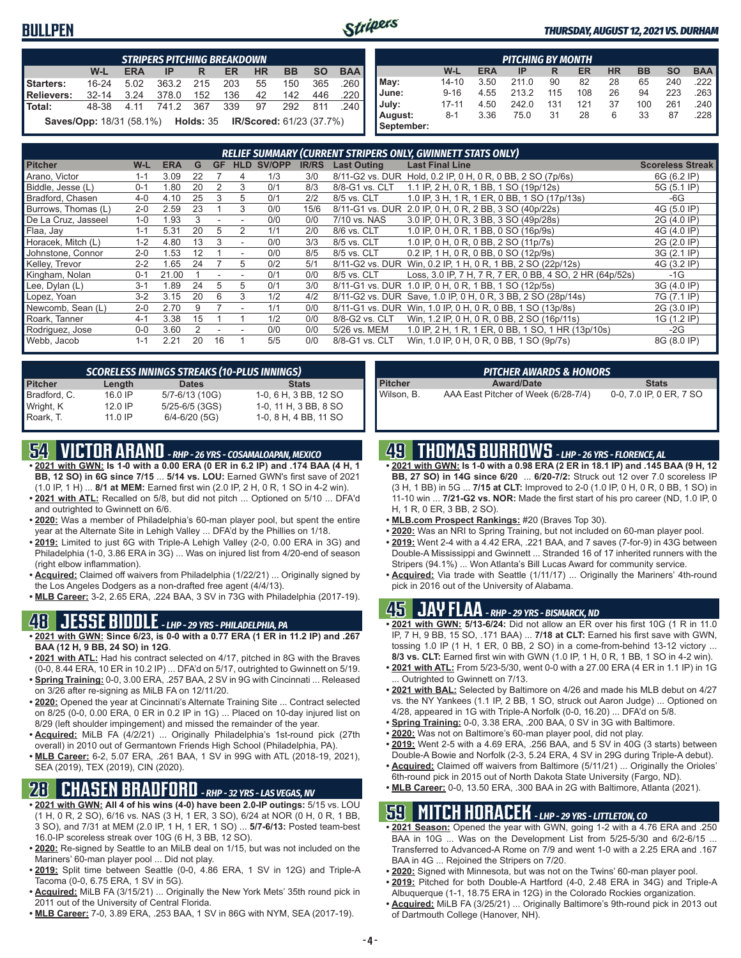### **BULLPEN**



#### *THURSDAY, AUGUST 12, 2021 VS. DURHAM*

| <b>STRIPERS PITCHING BREAKDOWN</b>                          |           |            |                      |     |           |           |           |           |            |  |
|-------------------------------------------------------------|-----------|------------|----------------------|-----|-----------|-----------|-----------|-----------|------------|--|
|                                                             | W-L       | <b>ERA</b> | IP                   | R   | <b>ER</b> | <b>HR</b> | <b>BB</b> | <b>SO</b> | <b>BAA</b> |  |
| Starters:                                                   | $16 - 24$ | 5.02       | 363.2 215            |     | 203       | 55        | 150       | 365       | .260       |  |
| <b>Relievers:</b>                                           | $32 - 14$ | 3.24       | 378.0                | 152 | 136       | 42        | 142       | 446       | .220       |  |
| Total:                                                      |           |            | 48-38 4.11 741.2 367 |     | 339       | 97        | 292       | 811       | 240        |  |
| Saves/Opp: 18/31 (58.1%) Holds: 35 IR/Scored: 61/23 (37.7%) |           |            |                      |     |           |           |           |           |            |  |

| <b>PITCHING BY MONTH</b> |           |            |       |     |     |           |           |           |            |  |
|--------------------------|-----------|------------|-------|-----|-----|-----------|-----------|-----------|------------|--|
|                          | W-L       | <b>ERA</b> | IP    | R   | ER  | <b>HR</b> | <b>BB</b> | <b>SO</b> | <b>BAA</b> |  |
| May:                     | $14 - 10$ | 3.50       | 211.0 | 90  | 82  | 28        | 65        | 240       | 222        |  |
| June:                    | $9 - 16$  | 4.55       | 213.2 | 115 | 108 | 26        | 94        | 223       | .263       |  |
| July:                    | $17 - 11$ | 4.50       | 242.0 | 131 | 121 | 37        | 100       | 261       | .240       |  |
| August:                  | $8 - 1$   | 3.36       | 75.0  | 31  | 28  | 6         | 33        | 87        | .228       |  |
| September:               |           |            |       |     |     |           |           |           |            |  |

| RELIEF SUMMARY (CURRENT STRIPERS ONLY, GWINNETT STATS ONLY) |         |            |    |    |            |        |              |                    |                                                             |                         |
|-------------------------------------------------------------|---------|------------|----|----|------------|--------|--------------|--------------------|-------------------------------------------------------------|-------------------------|
| <b>Pitcher</b>                                              | W-L     | <b>ERA</b> | G  | GF | <b>HLD</b> | SV/OPP | <b>IR/RS</b> | <b>Last Outing</b> | <b>Last Final Line</b>                                      | <b>Scoreless Streak</b> |
| Arano, Victor                                               | $1 - 1$ | 3.09       | 22 |    | 4          | 1/3    | 3/0          |                    | 8/11-G2 vs. DUR Hold, 0.2 IP, 0 H, 0 R, 0 BB, 2 SO (7p/6s)  | 6G (6.2 IP)             |
| Biddle, Jesse (L)                                           | $0 - 1$ | 1.80       | 20 |    |            | 0/1    | 8/3          | 8/8-G1 vs. CLT     | 1.1 IP, 2 H, 0 R, 1 BB, 1 SO (19p/12s)                      | 5G (5.1 IP)             |
| Bradford, Chasen                                            | $4 - 0$ | 4.10       | 25 |    | 5          | 0/1    | 2/2          | 8/5 vs. CLT        | 1.0 IP, 3 H, 1 R, 1 ER, 0 BB, 1 SO (17p/13s)                | $-6G$                   |
| Burrows, Thomas (L)                                         | $2 - 0$ | 2.59       | 23 |    | 3          | 0/0    | 15/6         |                    | 8/11-G1 vs. DUR 2.0 IP, 0 H, 0 R, 2 BB, 3 SO (40p/22s)      | 4G (5.0 IP)             |
| De La Cruz, Jasseel                                         | $1 - 0$ | 1.93       |    |    |            | 0/0    | 0/0          | 7/10 vs. NAS       | 3.0 IP, 0 H, 0 R, 3 BB, 3 SO (49p/28s)                      | 2G (4.0 IP)             |
| Flaa, Jay                                                   | $1 - 1$ | 5.31       | 20 | 5  | っ          | 1/1    | 2/0          | 8/6 vs. CLT        | 1.0 IP, 0 H, 0 R, 1 BB, 0 SO (16p/9s)                       | 4G (4.0 IP)             |
| Horacek, Mitch (L)                                          | $1 - 2$ | 4.80       | 13 | 3  |            | 0/0    | 3/3          | 8/5 vs. CLT        | 1.0 IP, 0 H, 0 R, 0 BB, 2 SO (11p/7s)                       | 2G (2.0 IP)             |
| Johnstone, Connor                                           | $2 - 0$ | .53        |    |    |            | 0/0    | 8/5          | 8/5 vs. CLT        | 0.2 IP, 1 H, 0 R, 0 BB, 0 SO (12p/9s)                       | 3G (2.1 IP)             |
| Kelley, Trevor                                              | $2 - 2$ | .65        | 24 |    | 5          | 0/2    | 5/1          |                    | 8/11-G2 vs. DUR Win, 0.2 IP, 1 H, 0 R, 1 BB, 2 SO (22p/12s) | 4G (3.2 IP)             |
| Kingham, Nolan                                              | $0 - 1$ | 21.00      |    |    |            | 0/1    | 0/0          | 8/5 vs. CLT        | Loss, 3.0 IP, 7 H, 7 R, 7 ER, 0 BB, 4 SO, 2 HR (64p/52s)    | $-1G$                   |
| Lee, Dylan (L)                                              | $3 - 1$ | .89        | 24 | 5  | 5          | 0/1    | 3/0          | 8/11-G1 vs. DUR    | 1.0 IP, 0 H, 0 R, 1 BB, 1 SO (12p/5s)                       | 3G (4.0 IP)             |
| Lopez, Yoan                                                 | $3 - 2$ | 3.15       | 20 | 6  | 3          | 1/2    | 4/2          | 8/11-G2 vs. DUR    | Save, 1.0 IP, 0 H, 0 R, 3 BB, 2 SO (28p/14s)                | 7G (7.1 IP)             |
| Newcomb, Sean (L)                                           | $2 - 0$ | 2.70       |    |    |            | 1/1    | 0/0          |                    | 8/11-G1 vs. DUR Win, 1.0 IP, 0 H, 0 R, 0 BB, 1 SO (13p/8s)  | 2G (3.0 IP)             |
| Roark, Tanner                                               | $4 - 1$ | 3.38       | 15 |    |            | 1/2    | 0/0          | 8/8-G2 vs. CLT     | Win, 1.2 IP, 0 H, 0 R, 0 BB, 2 SO (16p/11s)                 | 1G (1.2 IP)             |
| Rodriguez, Jose                                             | $0 - 0$ | 3.60       |    |    |            | 0/0    | 0/0          | 5/26 vs. MEM       | 1.0 IP, 2 H, 1 R, 1 ER, 0 BB, 1 SO, 1 HR (13p/10s)          | $-2G$                   |
| Webb, Jacob                                                 | $1 - 1$ | 2.21       | 20 | 16 |            | 5/5    | 0/0          | 8/8-G1 vs. CLT     | Win, 1.0 IP, 0 H, 0 R, 0 BB, 1 SO (9p/7s)                   | 8G (8.0 IP)             |

| <b>SCORELESS INNINGS STREAKS (10-PLUS INNINGS)</b> |           |                    |                       |  |  |  |  |  |  |  |  |
|----------------------------------------------------|-----------|--------------------|-----------------------|--|--|--|--|--|--|--|--|
| <b>Pitcher</b>                                     | Length    | <b>Dates</b>       | <b>Stats</b>          |  |  |  |  |  |  |  |  |
| Bradford, C.                                       | 16.0 IP   | 5/7-6/13 (10G)     | 1-0, 6 H, 3 BB, 12 SO |  |  |  |  |  |  |  |  |
| Wright, K                                          | $12.0$ IP | $5/25 - 6/5$ (3GS) | 1-0, 11 H, 3 BB, 8 SO |  |  |  |  |  |  |  |  |
| Roark, T.                                          | $11.0$ IP | $6/4 - 6/20$ (5G)  | 1-0, 8 H, 4 BB, 11 SO |  |  |  |  |  |  |  |  |

## **54 VICTOR ARANO** *- RHP - 26 YRS - COSAMALOAPAN, MEXICO*

- **• 2021 with GWN: Is 1-0 with a 0.00 ERA (0 ER in 6.2 IP) and .174 BAA (4 H, 1 BB, 12 SO) in 6G since 7/15** ... **5/14 vs. LOU:** Earned GWN's first save of 2021 (1.0 IP, 1 H) ... **8/1 at MEM:** Earned first win (2.0 IP, 2 H, 0 R, 1 SO in 4-2 win).
- **• 2021 with ATL:** Recalled on 5/8, but did not pitch ... Optioned on 5/10 ... DFA'd and outrighted to Gwinnett on 6/6.
- **• 2020:** Was a member of Philadelphia's 60-man player pool, but spent the entire year at the Alternate Site in Lehigh Valley ... DFA'd by the Phillies on 1/18.
- **• 2019:** Limited to just 6G with Triple-A Lehigh Valley (2-0, 0.00 ERA in 3G) and Philadelphia (1-0, 3.86 ERA in 3G) ... Was on injured list from 4/20-end of season (right elbow inflammation).
- **• Acquired:** Claimed off waivers from Philadelphia (1/22/21) ... Originally signed by the Los Angeles Dodgers as a non-drafted free agent (4/4/13).
- **• MLB Career:** 3-2, 2.65 ERA, .224 BAA, 3 SV in 73G with Philadelphia (2017-19).

#### **48 JESSE BIDDLE** *- LHP - 29 YRS - PHILADELPHIA, PA*

- **• 2021 with GWN: Since 6/23, is 0-0 with a 0.77 ERA (1 ER in 11.2 IP) and .267 BAA (12 H, 9 BB, 24 SO) in 12G**.
- **• 2021 with ATL:** Had his contract selected on 4/17, pitched in 8G with the Braves (0-0, 8.44 ERA, 10 ER in 10.2 IP) ... DFA'd on 5/17, outrighted to Gwinnett on 5/19. **• Spring Training:** 0-0, 3.00 ERA, .257 BAA, 2 SV in 9G with Cincinnati ... Released
- on 3/26 after re-signing as MiLB FA on 12/11/20.
- **• 2020:** Opened the year at Cincinnati's Alternate Training Site ... Contract selected on 8/25 (0-0, 0.00 ERA, 0 ER in 0.2 IP in 1G) ... Placed on 10-day injured list on 8/29 (left shoulder impingement) and missed the remainder of the year.
- **• Acquired:** MiLB FA (4/2/21) ... Originally Philadelphia's 1st-round pick (27th overall) in 2010 out of Germantown Friends High School (Philadelphia, PA).
- **• MLB Career:** 6-2, 5.07 ERA, .261 BAA, 1 SV in 99G with ATL (2018-19, 2021), SEA (2019), TEX (2019), CIN (2020).

### **28 CHASEN BRADFORD** *- RHP - 32 YRS - LAS VEGAS, NV*

- **• 2021 with GWN: All 4 of his wins (4-0) have been 2.0-IP outings:** 5/15 vs. LOU (1 H, 0 R, 2 SO), 6/16 vs. NAS (3 H, 1 ER, 3 SO), 6/24 at NOR (0 H, 0 R, 1 BB, 3 SO), and 7/31 at MEM (2.0 IP, 1 H, 1 ER, 1 SO) ... **5/7-6/13:** Posted team-best 16.0-IP scoreless streak over 10G (6 H, 3 BB, 12 SO).
- **• 2020:** Re-signed by Seattle to an MiLB deal on 1/15, but was not included on the Mariners' 60-man player pool ... Did not play.
- **• 2019:** Split time between Seattle (0-0, 4.86 ERA, 1 SV in 12G) and Triple-A Tacoma (0-0, 6.75 ERA, 1 SV in 5G).
- **• Acquired:** MiLB FA (3/15/21) ... Originally the New York Mets' 35th round pick in 2011 out of the University of Central Florida.
- **• MLB Career:** 7-0, 3.89 ERA, .253 BAA, 1 SV in 86G with NYM, SEA (2017-19).

| <b>PITCHER AWARDS &amp; HONORS</b> |                                     |                         |  |  |  |  |  |
|------------------------------------|-------------------------------------|-------------------------|--|--|--|--|--|
| <b>Pitcher</b>                     | <b>Award/Date</b>                   | <b>Stats</b>            |  |  |  |  |  |
| Wilson. B.                         | AAA East Pitcher of Week (6/28-7/4) | 0-0, 7.0 IP, 0 ER, 7 SO |  |  |  |  |  |

## **49 THOMAS BURROWS** *- LHP - 26 YRS - FLORENCE, AL*

- **• 2021 with GWN: Is 1-0 with a 0.98 ERA (2 ER in 18.1 IP) and .145 BAA (9 H, 12 BB, 27 SO) in 14G since 6/20** ... **6/20-7/2:** Struck out 12 over 7.0 scoreless IP (3 H, 1 BB) in 5G ... **7/15 at CLT:** Improved to 2-0 (1.0 IP, 0 H, 0 R, 0 BB, 1 SO) in 11-10 win ... **7/21-G2 vs. NOR:** Made the first start of his pro career (ND, 1.0 IP, 0 H, 1 R, 0 ER, 3 BB, 2 SO).
- **• MLB.com Prospect Rankings:** #20 (Braves Top 30).
- **• 2020:** Was an NRI to Spring Training, but not included on 60-man player pool.
- **• 2019:** Went 2-4 with a 4.42 ERA, .221 BAA, and 7 saves (7-for-9) in 43G between Double-A Mississippi and Gwinnett ... Stranded 16 of 17 inherited runners with the Stripers (94.1%) ... Won Atlanta's Bill Lucas Award for community service.
- **• Acquired:** Via trade with Seattle (1/11/17) ... Originally the Mariners' 4th-round pick in 2016 out of the University of Alabama.

#### **45 JAY FLAA** *- RHP - 29 YRS - BISMARCK, ND*

- **• 2021 with GWN: 5/13-6/24:** Did not allow an ER over his first 10G (1 R in 11.0 IP, 7 H, 9 BB, 15 SO, .171 BAA) ... **7/18 at CLT:** Earned his first save with GWN, tossing 1.0 IP (1 H, 1 ER, 0 BB, 2 SO) in a come-from-behind 13-12 victory ... **8/3 vs. CLT:** Earned first win with GWN (1.0 IP, 1 H, 0 R, 1 BB, 1 SO in 4-2 win).
- **• 2021 with ATL:** From 5/23-5/30, went 0-0 with a 27.00 ERA (4 ER in 1.1 IP) in 1G Outrighted to Gwinnett on 7/13.
- **• 2021 with BAL:** Selected by Baltimore on 4/26 and made his MLB debut on 4/27 vs. the NY Yankees (1.1 IP, 2 BB, 1 SO, struck out Aaron Judge) ... Optioned on 4/28, appeared in 1G with Triple-A Norfolk (0-0, 16.20) ... DFA'd on 5/8.
- **• Spring Training:** 0-0, 3.38 ERA, .200 BAA, 0 SV in 3G with Baltimore.
- **• 2020:** Was not on Baltimore's 60-man player pool, did not play.
- **• 2019:** Went 2-5 with a 4.69 ERA, .256 BAA, and 5 SV in 40G (3 starts) between Double-A Bowie and Norfolk (2-3, 5.24 ERA, 4 SV in 29G during Triple-A debut).
- **• Acquired:** Claimed off waivers from Baltimore (5/11/21) ... Originally the Orioles' 6th-round pick in 2015 out of North Dakota State University (Fargo, ND).
- **• MLB Career:** 0-0, 13.50 ERA, .300 BAA in 2G with Baltimore, Atlanta (2021).

### **59 MITCH HORACEK** *- LHP - 29 YRS - LITTLETON, CO*

- **• 2021 Season:** Opened the year with GWN, going 1-2 with a 4.76 ERA and .250 BAA in 10G ... Was on the Development List from 5/25-5/30 and 6/2-6/15 ... Transferred to Advanced-A Rome on 7/9 and went 1-0 with a 2.25 ERA and .167 BAA in 4G ... Rejoined the Stripers on 7/20.
- **• 2020:** Signed with Minnesota, but was not on the Twins' 60-man player pool.
- **• 2019:** Pitched for both Double-A Hartford (4-0, 2.48 ERA in 34G) and Triple-A Albuquerque (1-1, 18.75 ERA in 12G) in the Colorado Rockies organization.
- **• Acquired:** MiLB FA (3/25/21) ... Originally Baltimore's 9th-round pick in 2013 out of Dartmouth College (Hanover, NH).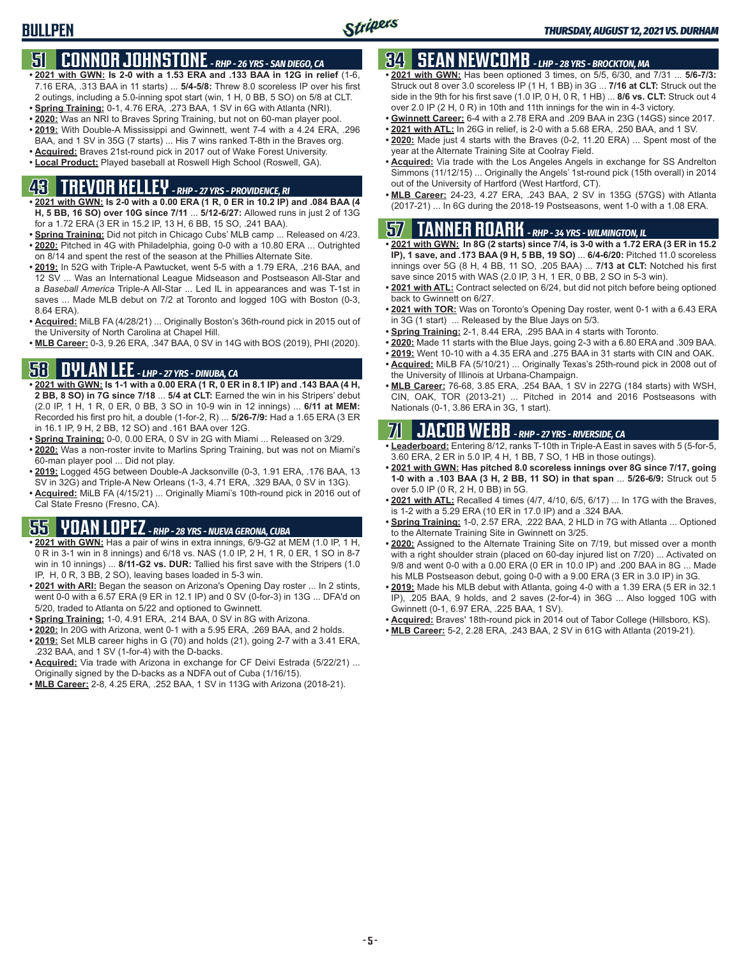## **51 CONNOR JOHNSTONE** *- RHP - 26 YRS - SAN DIEGO, CA*

- **• 2021 with GWN: Is 2-0 with a 1.53 ERA and .133 BAA in 12G in relief** (1-6, 7.16 ERA, .313 BAA in 11 starts) ... **5/4-5/8:** Threw 8.0 scoreless IP over his first 2 outings, including a 5.0-inning spot start (win, 1 H, 0 BB, 5 SO) on 5/8 at CLT.
- **• Spring Training:** 0-1, 4.76 ERA, .273 BAA, 1 SV in 6G with Atlanta (NRI).
- **• 2020:** Was an NRI to Braves Spring Training, but not on 60-man player pool.
- **• 2019:** With Double-A Mississippi and Gwinnett, went 7-4 with a 4.24 ERA, .296 BAA, and 1 SV in 35G (7 starts) ... His 7 wins ranked T-8th in the Braves org.
- **• Acquired:** Braves 21st-round pick in 2017 out of Wake Forest University.
- **• Local Product:** Played baseball at Roswell High School (Roswell, GA).

## **43 TREVOR KELLEY** *- RHP - 27 YRS - PROVIDENCE, RI*

- **• 2021 with GWN: Is 2-0 with a 0.00 ERA (1 R, 0 ER in 10.2 IP) and .084 BAA (4 H, 5 BB, 16 SO) over 10G since 7/11** ... **5/12-6/27:** Allowed runs in just 2 of 13G for a 1.72 ERA (3 ER in 15.2 IP, 13 H, 6 BB, 15 SO, .241 BAA).
- **• Spring Training:** Did not pitch in Chicago Cubs' MLB camp ... Released on 4/23. **• 2020:** Pitched in 4G with Philadelphia, going 0-0 with a 10.80 ERA ... Outrighted on 8/14 and spent the rest of the season at the Phillies Alternate Site.
- **• 2019:** In 52G with Triple-A Pawtucket, went 5-5 with a 1.79 ERA, .216 BAA, and 12 SV ... Was an International League Midseason and Postseason All-Star and a *Baseball America* Triple-A All-Star ... Led IL in appearances and was T-1st in saves ... Made MLB debut on 7/2 at Toronto and logged 10G with Boston (0-3, 8.64 ERA).
- **• Acquired:** MiLB FA (4/28/21) ... Originally Boston's 36th-round pick in 2015 out of the University of North Carolina at Chapel Hill.
- **• MLB Career:** 0-3, 9.26 ERA, .347 BAA, 0 SV in 14G with BOS (2019), PHI (2020).

### **58 DYLAN LEE** *- LHP - 27 YRS - DINUBA, CA*

- **• 2021 with GWN: Is 1-1 with a 0.00 ERA (1 R, 0 ER in 8.1 IP) and .143 BAA (4 H, 2 BB, 8 SO) in 7G since 7/18** ... **5/4 at CLT:** Earned the win in his Stripers' debut (2.0 IP, 1 H, 1 R, 0 ER, 0 BB, 3 SO in 10-9 win in 12 innings) ... **6/11 at MEM:** Recorded his first pro hit, a double (1-for-2, R) ... **5/26-7/9:** Had a 1.65 ERA (3 ER in 16.1 IP, 9 H, 2 BB, 12 SO) and .161 BAA over 12G.
- **• Spring Training:** 0-0, 0.00 ERA, 0 SV in 2G with Miami ... Released on 3/29.
- **• 2020:** Was a non-roster invite to Marlins Spring Training, but was not on Miami's 60-man player pool ... Did not play.
- **• 2019:** Logged 45G between Double-A Jacksonville (0-3, 1.91 ERA, .176 BAA, 13 SV in 32G) and Triple-A New Orleans (1-3, 4.71 ERA, .329 BAA, 0 SV in 13G).
- **• Acquired:** MiLB FA (4/15/21) ... Originally Miami's 10th-round pick in 2016 out of Cal State Fresno (Fresno, CA).

## **55 YOAN LOPEZ** *- RHP - 28 YRS - NUEVA GERONA, CUBA*

- **• 2021 with GWN:** Has a pair of wins in extra innings, 6/9-G2 at MEM (1.0 IP, 1 H, 0 R in 3-1 win in 8 innings) and 6/18 vs. NAS (1.0 IP, 2 H, 1 R, 0 ER, 1 SO in 8-7 win in 10 innings) ... **8/11-G2 vs. DUR:** Tallied his first save with the Stripers (1.0 IP, H, 0 R, 3 BB, 2 SO), leaving bases loaded in 5-3 win.
- **• 2021 with ARI:** Began the season on Arizona's Opening Day roster ... In 2 stints, went 0-0 with a 6.57 ERA (9 ER in 12.1 IP) and 0 SV (0-for-3) in 13G ... DFA'd on 5/20, traded to Atlanta on 5/22 and optioned to Gwinnett.
- **• Spring Training:** 1-0, 4.91 ERA, .214 BAA, 0 SV in 8G with Arizona.
- **• 2020:** In 20G with Arizona, went 0-1 with a 5.95 ERA, .269 BAA, and 2 holds.
- **• 2019:** Set MLB career highs in G (70) and holds (21), going 2-7 with a 3.41 ERA, .232 BAA, and 1 SV (1-for-4) with the D-backs.
- **• Acquired:** Via trade with Arizona in exchange for CF Deivi Estrada (5/22/21) ... Originally signed by the D-backs as a NDFA out of Cuba (1/16/15).
- **• MLB Career:** 2-8, 4.25 ERA, .252 BAA, 1 SV in 113G with Arizona (2018-21).

### **34 SEAN NEWCOMB** *- LHP - 28 YRS - BROCKTON, MA*

- **• 2021 with GWN:** Has been optioned 3 times, on 5/5, 6/30, and 7/31 ... **5/6-7/3:** Struck out 8 over 3.0 scoreless IP (1 H, 1 BB) in 3G ... **7/16 at CLT:** Struck out the side in the 9th for his first save (1.0 IP, 0 H, 0 R, 1 HB) ... **8/6 vs. CLT:** Struck out 4 over 2.0 IP (2 H, 0 R) in 10th and 11th innings for the win in 4-3 victory.
- **• Gwinnett Career:** 6-4 with a 2.78 ERA and .209 BAA in 23G (14GS) since 2017.
- **• 2021 with ATL:** In 26G in relief, is 2-0 with a 5.68 ERA, .250 BAA, and 1 SV.
- **• 2020:** Made just 4 starts with the Braves (0-2, 11.20 ERA) ... Spent most of the year at the Alternate Training Site at Coolray Field.
- **• Acquired:** Via trade with the Los Angeles Angels in exchange for SS Andrelton Simmons (11/12/15) ... Originally the Angels' 1st-round pick (15th overall) in 2014 out of the University of Hartford (West Hartford, CT).
- **• MLB Career:** 24-23, 4.27 ERA, .243 BAA, 2 SV in 135G (57GS) with Atlanta (2017-21) ... In 6G during the 2018-19 Postseasons, went 1-0 with a 1.08 ERA.

#### **57 TANNER ROARK** *- RHP - 34 YRS - WILMINGTON, IL*

- **• 2021 with GWN: In 8G (2 starts) since 7/4, is 3-0 with a 1.72 ERA (3 ER in 15.2 IP), 1 save, and .173 BAA (9 H, 5 BB, 19 SO)** ... **6/4-6/20:** Pitched 11.0 scoreless innings over 5G (8 H, 4 BB, 11 SO, .205 BAA) ... **7/13 at CLT:** Notched his first save since 2015 with WAS (2.0 IP, 3 H, 1 ER, 0 BB, 2 SO in 5-3 win).
- **• 2021 with ATL:** Contract selected on 6/24, but did not pitch before being optioned back to Gwinnett on 6/27.
- **• 2021 with TOR:** Was on Toronto's Opening Day roster, went 0-1 with a 6.43 ERA in 3G (1 start) ... Released by the Blue Jays on 5/3.
- **• Spring Training:** 2-1, 8.44 ERA, .295 BAA in 4 starts with Toronto.
- **• 2020:** Made 11 starts with the Blue Jays, going 2-3 with a 6.80 ERA and .309 BAA.
- **• 2019:** Went 10-10 with a 4.35 ERA and .275 BAA in 31 starts with CIN and OAK.
- **• Acquired:** MiLB FA (5/10/21) ... Originally Texas's 25th-round pick in 2008 out of the University of Illinois at Urbana-Champaign.
- **• MLB Career:** 76-68, 3.85 ERA, .254 BAA, 1 SV in 227G (184 starts) with WSH, CIN, OAK, TOR (2013-21) ... Pitched in 2014 and 2016 Postseasons with Nationals (0-1, 3.86 ERA in 3G, 1 start).

### **71 JACOB WEBB** *- RHP - 27 YRS - RIVERSIDE, CA*

- **• Leaderboard:** Entering 8/12, ranks T-10th in Triple-A East in saves with 5 (5-for-5, 3.60 ERA, 2 ER in 5.0 IP, 4 H, 1 BB, 7 SO, 1 HB in those outings).
- **• 2021 with GWN: Has pitched 8.0 scoreless innings over 8G since 7/17, going 1-0 with a .103 BAA (3 H, 2 BB, 11 SO) in that span** ... **5/26-6/9:** Struck out 5 over 5.0 IP (0 R, 2 H, 0 BB) in 5G.
- **• 2021 with ATL:** Recalled 4 times (4/7, 4/10, 6/5, 6/17) ... In 17G with the Braves, is 1-2 with a 5.29 ERA (10 ER in 17.0 IP) and a .324 BAA.
- **• Spring Training:** 1-0, 2.57 ERA, .222 BAA, 2 HLD in 7G with Atlanta ... Optioned to the Alternate Training Site in Gwinnett on 3/25.
- **• 2020:** Assigned to the Alternate Training Site on 7/19, but missed over a month with a right shoulder strain (placed on 60-day injured list on 7/20) ... Activated on 9/8 and went 0-0 with a 0.00 ERA (0 ER in 10.0 IP) and .200 BAA in 8G ... Made his MLB Postseason debut, going 0-0 with a 9.00 ERA (3 ER in 3.0 IP) in 3G.
- **• 2019:** Made his MLB debut with Atlanta, going 4-0 with a 1.39 ERA (5 ER in 32.1 IP), .205 BAA, 9 holds, and 2 saves (2-for-4) in 36G ... Also logged 10G with Gwinnett (0-1, 6.97 ERA, .225 BAA, 1 SV).
- **• Acquired:** Braves' 18th-round pick in 2014 out of Tabor College (Hillsboro, KS).
- **• MLB Career:** 5-2, 2.28 ERA, .243 BAA, 2 SV in 61G with Atlanta (2019-21).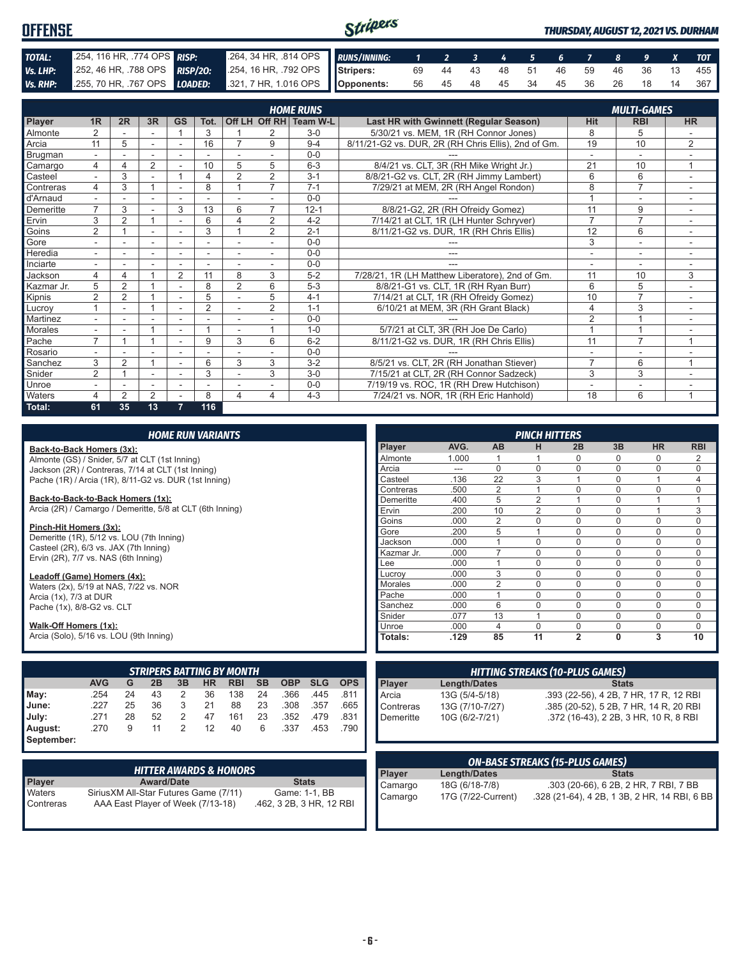| <b>OFFENSE</b> |                            |                                                                                              | Stripers |  |  |  |  |  | <b>THURSDAY, AUGUST 12, 2021 VS. DURHAM</b> |
|----------------|----------------------------|----------------------------------------------------------------------------------------------|----------|--|--|--|--|--|---------------------------------------------|
| TOTAL:         | 254, 116 HR, 774 OPS RISP: | 264, 34 HR, .814 OPS RUNS/INNING: 1 2 3 4 5 6 7 8 9 X TOT                                    |          |  |  |  |  |  |                                             |
| Vs. LHP:       |                            | 252, 46 HR, 788 OPS RISP/20: 254, 16 HR, 792 OPS Stripers: 69 44 43 48 51 46 59 46 36 13 455 |          |  |  |  |  |  |                                             |
|                |                            | Vs. RHP: 255, 70 HR, 767 OPS LOADED: 321, 7 HR, 1.016 OPS Opponents:                         |          |  |  |  |  |  | 56 45 48 45 34 45 36 26 18 14 367           |

|            | <b>HOME RUNS</b><br><b>MULTI-GAMES</b> |                |                |                          |                |                          |                |                        |                                                     |                |                |                |
|------------|----------------------------------------|----------------|----------------|--------------------------|----------------|--------------------------|----------------|------------------------|-----------------------------------------------------|----------------|----------------|----------------|
| Player     | 1 <sub>R</sub>                         | 2R             | 3R             | GS                       | Tot.           |                          |                | Off LH Off RH Team W-L | Last HR with Gwinnett (Regular Season)              | <b>Hit</b>     | <b>RBI</b>     | <b>HR</b>      |
| Almonte    | $\overline{2}$                         |                | ۰              |                          | 3              |                          | 2              | $3-0$                  | 5/30/21 vs. MEM, 1R (RH Connor Jones)               | 8              | 5              |                |
| Arcia      | 11                                     | 5              |                | ۰                        | 16             | 7                        | 9              | $9 - 4$                | 8/11/21-G2 vs. DUR, 2R (RH Chris Ellis), 2nd of Gm. | 19             | 10             | $\overline{2}$ |
| Brugman    | $\sim$                                 |                | ٠              | $\overline{\phantom{a}}$ |                |                          | $\sim$         | $0 - 0$                |                                                     | $\sim$         | $\sim$         |                |
| Camargo    | 4                                      | 4              | 2              |                          | 10             | 5                        | 5              | $6 - 3$                | 8/4/21 vs. CLT, 3R (RH Mike Wright Jr.)             | 21             | 10             | $\mathbf{1}$   |
| Casteel    |                                        | 3              |                |                          | 4              | $\overline{2}$           | $\overline{2}$ | $3 - 1$                | 8/8/21-G2 vs. CLT, 2R (RH Jimmy Lambert)            | 6              | 6              |                |
| Contreras  | 4                                      | 3              |                | $\overline{a}$           | 8              |                          | $\overline{7}$ | $7 - 1$                | 7/29/21 at MEM, 2R (RH Angel Rondon)                | 8              | $\overline{7}$ |                |
| d'Arnaud   |                                        |                |                | $\overline{\phantom{0}}$ |                |                          |                | $0 - 0$                |                                                     |                | ۰              | ۰              |
| Demeritte  | $\overline{7}$                         | 3              |                | 3                        | 13             | 6                        | 7              | $12 - 1$               | 8/8/21-G2, 2R (RH Ofreidy Gomez)                    | 11             | 9              |                |
| Ervin      | 3                                      | $\overline{2}$ |                | $\overline{\phantom{a}}$ | 6              | $\Delta$                 | $\overline{2}$ | $4 - 2$                | 7/14/21 at CLT, 1R (LH Hunter Schryver)             | $\overline{7}$ | $\overline{7}$ | ٠              |
| Goins      | $\overline{2}$                         |                |                |                          | 3              |                          | $\overline{2}$ | $2 - 1$                | 8/11/21-G2 vs. DUR, 1R (RH Chris Ellis)             | 12             | 6              |                |
| Gore       |                                        |                | ۰              |                          | ۰              |                          |                | $0 - 0$                |                                                     | 3              | $\overline{a}$ |                |
| Heredia    | $\sim$                                 |                | ۰              | ٠                        | ۰              |                          |                | $0 - 0$                |                                                     |                | ۰              |                |
| Inciarte   | $\overline{\phantom{0}}$               |                |                | $\overline{\phantom{a}}$ |                |                          |                | $0 - 0$                |                                                     | ٠              | ٠              |                |
| Jackson    | 4                                      | 4              |                | $\overline{2}$           | 11             | 8                        | 3              | $5 - 2$                | 7/28/21, 1R (LH Matthew Liberatore), 2nd of Gm.     | 11             | 10             | 3              |
| Kazmar Jr. | 5                                      | $\overline{2}$ |                |                          | 8              | $\overline{2}$           | 6              | $5-3$                  | 8/8/21-G1 vs. CLT, 1R (RH Ryan Burr)                | 6              | 5              |                |
| Kipnis     | $\overline{2}$                         | $\overline{2}$ |                | ٠                        | 5              |                          | 5              | $4 - 1$                | 7/14/21 at CLT, 1R (RH Ofreidy Gomez)               | 10             | $\overline{7}$ | $\sim$         |
| Lucroy     |                                        |                |                | ٠                        | $\overline{2}$ |                          | $\overline{2}$ | $1 - 1$                | 6/10/21 at MEM, 3R (RH Grant Black)                 | 4              | 3              | ٠              |
| Martinez   |                                        |                |                |                          |                |                          |                | $0 - 0$                |                                                     | $\overline{2}$ |                |                |
| Morales    | $\sim$                                 |                |                | ۰                        |                | $\overline{\phantom{a}}$ |                | $1 - 0$                | 5/7/21 at CLT, 3R (RH Joe De Carlo)                 |                |                | $\sim$         |
| Pache      | $\overline{7}$                         |                |                |                          | 9              | 3                        | 6              | $6 - 2$                | 8/11/21-G2 vs. DUR, 1R (RH Chris Ellis)             | 11             | $\overline{7}$ | 1              |
| Rosario    |                                        |                |                |                          |                |                          |                | $0 - 0$                |                                                     |                | ٠              |                |
| Sanchez    | 3                                      | $\overline{2}$ |                |                          | 6              | 3                        | 3              | $3 - 2$                | 8/5/21 vs. CLT, 2R (RH Jonathan Stiever)            | $\overline{7}$ | 6              | $\overline{ }$ |
| Snider     | $\overline{2}$                         |                |                | $\sim$                   | 3              |                          | 3              | $3-0$                  | 7/15/21 at CLT, 2R (RH Connor Sadzeck)              | 3              | 3              |                |
| Unroe      | $\overline{\phantom{a}}$               |                | ٠              | $\overline{\phantom{a}}$ | ٠              |                          |                | $0 - 0$                | 7/19/19 vs. ROC, 1R (RH Drew Hutchison)             | $\blacksquare$ | ۰              | ۰              |
| Waters     | 4                                      | $\overline{2}$ | $\overline{2}$ |                          | 8              | Δ                        | 4              | $4 - 3$                | 7/24/21 vs. NOR, 1R (RH Eric Hanhold)               | 18             | 6              |                |
| Total:     | 61                                     | 35             | 13             | 7                        | 116            |                          |                |                        |                                                     |                |                |                |

| <b>HOME RUN VARIANTS</b>                                  |                          |            |            |                |                     |                | <b>PINCH HITTERS</b> |                                        |              |                                              |                     |
|-----------------------------------------------------------|--------------------------|------------|------------|----------------|---------------------|----------------|----------------------|----------------------------------------|--------------|----------------------------------------------|---------------------|
| Back-to-Back Homers (3x):                                 |                          |            |            | Player         | AVG.                | <b>AB</b>      | н                    | 2B                                     | 3B           | <b>HR</b>                                    | <b>RBI</b>          |
| Almonte (GS) / Snider, 5/7 at CLT (1st Inning)            |                          |            |            | Almonte        | 1.000               |                |                      | 0                                      | $\Omega$     | 0                                            | $\overline{2}$      |
| Jackson (2R) / Contreras, 7/14 at CLT (1st Inning)        |                          |            |            | Arcia          | $---$               | $\mathbf 0$    | $\Omega$             | $\mathbf 0$                            | $\Omega$     | 0                                            | $\mathbf 0$         |
| Pache (1R) / Arcia (1R), 8/11-G2 vs. DUR (1st Inning)     |                          |            |            | Casteel        | .136                | 22             | 3                    | $\overline{1}$                         | $\Omega$     | $\mathbf{1}$                                 | $\overline{4}$      |
|                                                           |                          |            |            | Contreras      | .500                | $\overline{2}$ |                      | $\Omega$                               | $\Omega$     | $\Omega$                                     | 0                   |
| Back-to-Back-to-Back Homers (1x):                         |                          |            |            | Demeritte      | .400                | 5              | 2                    | $\overline{1}$                         | $\Omega$     | $\mathbf{1}$                                 | $\mathbf{1}$        |
| Arcia (2R) / Camargo / Demeritte, 5/8 at CLT (6th Inning) |                          |            |            | Ervin          | .200                | 10             | $\overline{2}$       | $\mathbf 0$                            | $\Omega$     | $\mathbf{1}$                                 | 3                   |
| Pinch-Hit Homers (3x):                                    |                          |            |            | Goins          | .000                | $\overline{2}$ | $\mathbf 0$          | $\mathbf 0$                            | $\Omega$     | 0                                            | $\mathbf 0$         |
| Demeritte (1R), 5/12 vs. LOU (7th Inning)                 |                          | Gore       | .200       | 5              |                     | $\Omega$       | $\mathbf{0}$         | 0                                      | $\mathbf 0$  |                                              |                     |
| Casteel (2R), 6/3 vs. JAX (7th Inning)                    |                          |            |            | Jackson        | .000                | $\mathbf{1}$   | $\mathbf 0$          | $\mathbf 0$                            | 0            | 0                                            | $\pmb{0}$           |
| Ervin (2R), 7/7 vs. NAS (6th Inning)                      |                          |            |            | Kazmar Jr.     | .000                | $\overline{7}$ | $\mathbf 0$          | $\Omega$                               | 0            | 0                                            | $\mathbf 0$         |
|                                                           |                          |            |            | Lee            | .000                | $\overline{1}$ | $\mathbf 0$          | $\Omega$                               | $\Omega$     | 0                                            | $\mathbf 0$         |
| Leadoff (Game) Homers (4x):                               |                          |            |            | Lucroy         | .000                | 3              | $\mathbf 0$          | $\mathbf 0$                            | $\Omega$     | 0                                            | $\mathbf 0$         |
| Waters (2x), 5/19 at NAS, 7/22 vs. NOR                    |                          |            |            | Morales        | .000                | $\overline{2}$ | $\Omega$             | $\Omega$                               | $\mathbf{0}$ | 0                                            | $\mathsf{O}\xspace$ |
| Arcia (1x), 7/3 at DUR                                    |                          |            |            | Pache          | .000                | $\mathbf{1}$   | $\mathbf 0$          | $\mathbf 0$                            | $\Omega$     | $\overline{0}$                               | $\mathsf{O}\xspace$ |
| Pache (1x), 8/8-G2 vs. CLT                                |                          |            |            | Sanchez        | .000                | 6              | $\mathbf 0$          | $\mathbf 0$                            | 0            | 0                                            | $\mathbf 0$         |
|                                                           |                          |            |            | Snider         | .077                | 13             |                      | $\mathbf 0$                            | $\Omega$     | 0                                            | $\mathbf 0$         |
| Walk-Off Homers (1x):                                     |                          |            |            | Unroe          | .000                | $\overline{4}$ | $\Omega$             | $\mathbf 0$                            | 0            | 0                                            | $\mathbf 0$         |
| Arcia (Solo), 5/16 vs. LOU (9th Inning)                   |                          |            |            | <b>Totals:</b> | .129                | 85             | 11                   | $\overline{2}$                         | $\mathbf{0}$ | 3                                            | 10                  |
|                                                           |                          |            |            |                |                     |                |                      |                                        |              |                                              |                     |
| <b>STRIPERS BATTING BY MONTH</b>                          |                          |            |            |                |                     |                |                      | <b>HITTING STREAKS (10-PLUS GAMES)</b> |              |                                              |                     |
| <b>AVG</b><br>G<br>2B<br>3B<br><b>HR</b><br><b>RBI</b>    | <b>SB</b><br><b>OBP</b>  | <b>SLG</b> | <b>OPS</b> | <b>Player</b>  | <b>Length/Dates</b> |                |                      |                                        | <b>Stats</b> |                                              |                     |
| .254<br>36<br>138<br>May:<br>24<br>43<br>2                | 24<br>.366               | .445       | .811       | Arcia          | 13G (5/4-5/18)      |                |                      |                                        |              | .393 (22-56), 4 2B, 7 HR, 17 R, 12 RBI       |                     |
| June:<br>.227<br>36<br>88<br>25<br>3<br>21                | .308<br>23               | .357       | .665       | Contreras      | 13G (7/10-7/27)     |                |                      |                                        |              | .385 (20-52), 5 2B, 7 HR, 14 R, 20 RBI       |                     |
| 52<br>2<br>.271<br>28<br>47<br>July:<br>161               | 23<br>.352               | .479       | .831       | Demeritte      | 10G (6/2-7/21)      |                |                      |                                        |              | .372 (16-43), 2 2B, 3 HR, 10 R, 8 RBI        |                     |
| 2<br>9<br>11<br>12<br>.270<br>40<br>August:               | 6<br>.337                | .453       | .790       |                |                     |                |                      |                                        |              |                                              |                     |
| September:                                                |                          |            |            |                |                     |                |                      |                                        |              |                                              |                     |
|                                                           |                          |            |            |                |                     |                |                      |                                        |              |                                              |                     |
| <b>HITTER AWARDS &amp; HONORS</b>                         |                          |            |            |                |                     |                |                      | <b>ON-BASE STREAKS (15-PLUS GAMES)</b> |              |                                              |                     |
| Player<br><b>Award/Date</b>                               | <b>Stats</b>             |            |            | Player         | <b>Length/Dates</b> |                |                      |                                        | <b>Stats</b> |                                              |                     |
| Waters<br>Sirius XM All-Star Futures Game (7/11)          | Game: 1-1, BB            |            |            | Camargo        | 18G (6/18-7/8)      |                |                      |                                        |              | .303 (20-66), 6 2B, 2 HR, 7 RBI, 7 BB        |                     |
| AAA East Player of Week (7/13-18)<br>Contreras            | .462, 3 2B, 3 HR, 12 RBI |            |            | Camargo        | 17G (7/22-Current)  |                |                      |                                        |              | .328 (21-64), 4 2B, 1 3B, 2 HR, 14 RBI, 6 BB |                     |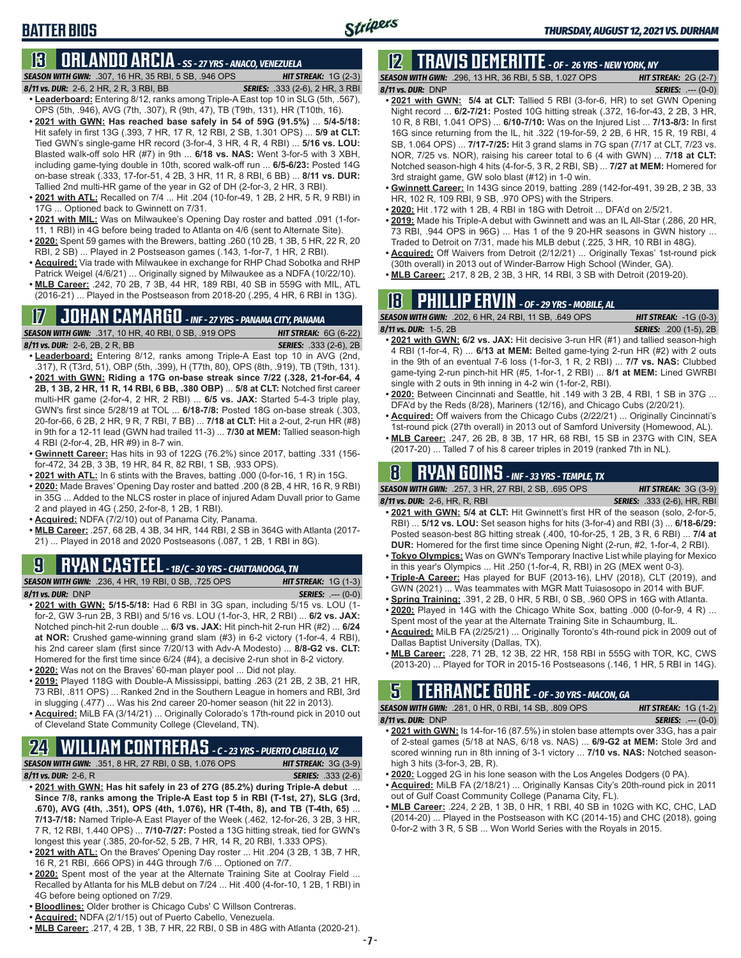### **BATTER BIOS**

## **13 ORLANDO ARCIA** *- SS - 27 YRS - ANACO, VENEZUELA*

*SEASON WITH GWN:*.307, 16 HR, 35 RBI, 5 SB, .946 OPS *HIT STREAK:* 1G (2-3)

- *8/11 vs. DUR:*2-6, 2 HR, 2 R, 3 RBI, BB *SERIES:* .333 (2-6), 2 HR, 3 RBI **• Leaderboard:** Entering 8/12, ranks among Triple-A East top 10 in SLG (5th, .567), OPS (5th, .946), AVG (7th, .307), R (9th, 47), TB (T9th, 131), HR (T10th, 16).
- **• 2021 with GWN: Has reached base safely in 54 of 59G (91.5%)** ... **5/4-5/18:**  Hit safely in first 13G (.393, 7 HR, 17 R, 12 RBI, 2 SB, 1.301 OPS) ... **5/9 at CLT:** Tied GWN's single-game HR record (3-for-4, 3 HR, 4 R, 4 RBI) ... **5/16 vs. LOU:** Blasted walk-off solo HR (#7) in 9th ... **6/18 vs. NAS:** Went 3-for-5 with 3 XBH, including game-tying double in 10th, scored walk-off run ... **6/5-6/23:** Posted 14G on-base streak (.333, 17-for-51, 4 2B, 3 HR, 11 R, 8 RBI, 6 BB) ... **8/11 vs. DUR:** Tallied 2nd multi-HR game of the year in G2 of DH (2-for-3, 2 HR, 3 RBI).
- **• 2021 with ATL:** Recalled on 7/4 ... Hit .204 (10-for-49, 1 2B, 2 HR, 5 R, 9 RBI) in 17G ... Optioned back to Gwinnett on 7/31.
- **• 2021 with MIL:** Was on Milwaukee's Opening Day roster and batted .091 (1-for-11, 1 RBI) in 4G before being traded to Atlanta on 4/6 (sent to Alternate Site).
- **• 2020:** Spent 59 games with the Brewers, batting .260 (10 2B, 1 3B, 5 HR, 22 R, 20 RBI, 2 SB) ... Played in 2 Postseason games (.143, 1-for-7, 1 HR, 2 RBI).
- **• Acquired:** Via trade with Milwaukee in exchange for RHP Chad Sobotka and RHP Patrick Weigel (4/6/21) ... Originally signed by Milwaukee as a NDFA (10/22/10).
- **• MLB Career:** .242, 70 2B, 7 3B, 44 HR, 189 RBI, 40 SB in 559G with MIL, ATL (2016-21) ... Played in the Postseason from 2018-20 (.295, 4 HR, 6 RBI in 13G).

## **17 JOHAN CAMARGO** *- INF - 27 YRS - PANAMA CITY, PANAMA*

*SEASON WITH GWN:*.317, 10 HR, 40 RBI, 0 SB, .919 OPS *HIT STREAK:* 6G (6-22)

- *8/11 vs. DUR:* 2-6, 2B, 2 R, BB *SERIES:* .333 (2-6), 2B **• Leaderboard:** Entering 8/12, ranks among Triple-A East top 10 in AVG (2nd, .317), R (T3rd, 51), OBP (5th, .399), H (T7th, 80), OPS (8th, .919), TB (T9th, 131). **• 2021 with GWN: Riding a 17G on-base streak since 7/22 (.328, 21-for-64, 4 2B, 1 3B, 2 HR, 11 R, 14 RBI, 6 BB, .380 OBP)** ... **5/8 at CLT:** Notched first career multi-HR game (2-for-4, 2 HR, 2 RBI) ... **6/5 vs. JAX:** Started 5-4-3 triple play, GWN's first since 5/28/19 at TOL ... **6/18-7/8:** Posted 18G on-base streak (.303, 20-for-66, 6 2B, 2 HR, 9 R, 7 RBI, 7 BB) ... **7/18 at CLT:** Hit a 2-out, 2-run HR (#8) in 9th for a 12-11 lead (GWN had trailed 11-3) ... **7/30 at MEM:** Tallied season-high 4 RBI (2-for-4, 2B, HR #9) in 8-7 win.
- **• Gwinnett Career:** Has hits in 93 of 122G (76.2%) since 2017, batting .331 (156 for-472, 34 2B, 3 3B, 19 HR, 84 R, 82 RBI, 1 SB, .933 OPS).
- **• 2021 with ATL:** In 6 stints with the Braves, batting .000 (0-for-16, 1 R) in 15G.
- **• 2020:** Made Braves' Opening Day roster and batted .200 (8 2B, 4 HR, 16 R, 9 RBI) in 35G ... Added to the NLCS roster in place of injured Adam Duvall prior to Game 2 and played in 4G (.250, 2-for-8, 1 2B, 1 RBI).
- **• Acquired:** NDFA (7/2/10) out of Panama City, Panama.
- **• MLB Career:** .257, 68 2B, 4 3B, 34 HR, 144 RBI, 2 SB in 364G with Atlanta (2017- 21) ... Played in 2018 and 2020 Postseasons (.087, 1 2B, 1 RBI in 8G).

## **9 RYAN CASTEEL** *- 1B/C - 30 YRS - CHATTANOOGA, TN*

*SEASON WITH GWN:*.236, 4 HR, 19 RBI, 0 SB, .725 OPS *HIT STREAK:* 1G (1-3) *8/11 vs. DUR:*DNP *SERIES:* .--- (0-0)

- **• 2021 with GWN: 5/15-5/18:** Had 6 RBI in 3G span, including 5/15 vs. LOU (1 for-2, GW 3-run 2B, 3 RBI) and 5/16 vs. LOU (1-for-3, HR, 2 RBI) ... **6/2 vs. JAX:** Notched pinch-hit 2-run double ... **6/3 vs. JAX:** Hit pinch-hit 2-run HR (#2) ... **6/24 at NOR:** Crushed game-winning grand slam (#3) in 6-2 victory (1-for-4, 4 RBI), his 2nd career slam (first since 7/20/13 with Adv-A Modesto) ... **8/8-G2 vs. CLT:** Homered for the first time since 6/24 (#4), a decisive 2-run shot in 8-2 victory.
- **• 2020:** Was not on the Braves' 60-man player pool ... Did not play.
- **• 2019:** Played 118G with Double-A Mississippi, batting .263 (21 2B, 2 3B, 21 HR, 73 RBI, .811 OPS) ... Ranked 2nd in the Southern League in homers and RBI, 3rd in slugging (.477) ... Was his 2nd career 20-homer season (hit 22 in 2013).
- **• Acquired:** MiLB FA (3/14/21) ... Originally Colorado's 17th-round pick in 2010 out of Cleveland State Community College (Cleveland, TN).

## **24 WILLIAM CONTRERAS** *- C - 23 YRS - PUERTO CABELLO, VZ*

- *SEASON WITH GWN:*.351, 8 HR, 27 RBI, 0 SB, 1.076 OPS *HIT STREAK:* 3G (3-9) *8/11 vs. DUR:* 2-6, R *SERIES:* .333 (2-6)
- **• 2021 with GWN: Has hit safely in 23 of 27G (85.2%) during Triple-A debut** ... **Since 7/8, ranks among the Triple-A East top 5 in RBI (T-1st, 27), SLG (3rd, .670), AVG (4th, .351), OPS (4th, 1.076), HR (T-4th, 8), and TB (T-4th, 65)** ... **7/13-7/18:** Named Triple-A East Player of the Week (.462, 12-for-26, 3 2B, 3 HR, 7 R, 12 RBI, 1.440 OPS) ... **7/10-7/27:** Posted a 13G hitting streak, tied for GWN's longest this year (.385, 20-for-52, 5 2B, 7 HR, 14 R, 20 RBI, 1.333 OPS).
- **• 2021 with ATL:** On the Braves' Opening Day roster ... Hit .204 (3 2B, 1 3B, 7 HR, 16 R, 21 RBI, .666 OPS) in 44G through 7/6 ... Optioned on 7/7.
- **• 2020:** Spent most of the year at the Alternate Training Site at Coolray Field ... Recalled by Atlanta for his MLB debut on 7/24 ... Hit .400 (4-for-10, 1 2B, 1 RBI) in 4G before being optioned on 7/29.
- **• Bloodlines:** Older brother is Chicago Cubs' C Willson Contreras.
- **• Acquired:** NDFA (2/1/15) out of Puerto Cabello, Venezuela.
- **• MLB Career:** .217, 4 2B, 1 3B, 7 HR, 22 RBI, 0 SB in 48G with Atlanta (2020-21).

# **12 TRAVIS DEMERITTE** *- OF - 26 YRS - NEW YORK, NY*

*SEASON WITH GWN:*.296, 13 HR, 36 RBI, 5 SB, 1.027 OPS *HIT STREAK:* 2G (2-7) *8/11 vs. DUR:*DNP *SERIES:* .--- (0-0)

- **• 2021 with GWN: 5/4 at CLT:** Tallied 5 RBI (3-for-6, HR) to set GWN Opening Night record ... **6/2-7/21:** Posted 10G hitting streak (.372, 16-for-43, 2 2B, 3 HR, 10 R, 8 RBI, 1.041 OPS) ... **6/10-7/10:** Was on the Injured List ... **7/13-8/3:** In first 16G since returning from the IL, hit .322 (19-for-59, 2 2B, 6 HR, 15 R, 19 RBI, 4 SB, 1.064 OPS) ... **7/17-7/25:** Hit 3 grand slams in 7G span (7/17 at CLT, 7/23 vs. NOR, 7/25 vs. NOR), raising his career total to 6 (4 with GWN) ... **7/18 at CLT:** Notched season-high 4 hits (4-for-5, 3 R, 2 RBI, SB) ... **7/27 at MEM:** Homered for 3rd straight game, GW solo blast (#12) in 1-0 win.
- **• Gwinnett Career:** In 143G since 2019, batting .289 (142-for-491, 39 2B, 2 3B, 33 HR, 102 R, 109 RBI, 9 SB, .970 OPS) with the Stripers.
- **• 2020:** Hit .172 with 1 2B, 4 RBI in 18G with Detroit ... DFA'd on 2/5/21.
- **• 2019:** Made his Triple-A debut with Gwinnett and was an IL All-Star (.286, 20 HR, 73 RBI, .944 OPS in 96G) ... Has 1 of the 9 20-HR seasons in GWN history ... Traded to Detroit on 7/31, made his MLB debut (.225, 3 HR, 10 RBI in 48G).
- **• Acquired:** Off Waivers from Detroit (2/12/21) ... Originally Texas' 1st-round pick (30th overall) in 2013 out of Winder-Barrow High School (Winder, GA).
- **• MLB Career:** .217, 8 2B, 2 3B, 3 HR, 14 RBI, 3 SB with Detroit (2019-20).

## **18 PHILLIP ERVIN** *- OF - 29 YRS - MOBILE, AL*

*SEASON WITH GWN:*.202, 6 HR, 24 RBI, 11 SB, .649 OPS *HIT STREAK:* -1G (0-3) *8/11 vs. DUR:*1-5, 2B *SERIES:* .200 (1-5), 2B

- **• 2021 with GWN: 6/2 vs. JAX:** Hit decisive 3-run HR (#1) and tallied season-high 4 RBI (1-for-4, R) ... **6/13 at MEM:** Belted game-tying 2-run HR (#2) with 2 outs in the 9th of an eventual 7-6 loss (1-for-3, 1 R, 2 RBI) ... **7/7 vs. NAS:** Clubbed game-tying 2-run pinch-hit HR (#5, 1-for-1, 2 RBI) ... **8/1 at MEM:** Lined GWRBI single with 2 outs in 9th inning in 4-2 win (1-for-2, RBI).
- **• 2020:** Between Cincinnati and Seattle, hit .149 with 3 2B, 4 RBI, 1 SB in 37G ... DFA'd by the Reds (8/28), Mariners (12/16), and Chicago Cubs (2/20/21).
- **• Acquired:** Off waivers from the Chicago Cubs (2/22/21) ... Originally Cincinnati's 1st-round pick (27th overall) in 2013 out of Samford University (Homewood, AL).
- **• MLB Career:** .247, 26 2B, 8 3B, 17 HR, 68 RBI, 15 SB in 237G with CIN, SEA (2017-20) ... Talled 7 of his 8 career triples in 2019 (ranked 7th in NL).

## **8 RYAN GOINS** *- INF - 33 YRS - TEMPLE, TX*

*SEASON WITH GWN:*.257, 3 HR, 27 RBI, 2 SB, .695 OPS *HIT STREAK:* 3G (3-9) *8/11 vs. DUR:*2-6, HR, R, RBI *SERIES:* .333 (2-6), HR, RBI

- **• 2021 with GWN: 5/4 at CLT:** Hit Gwinnett's first HR of the season (solo, 2-for-5, RBI) ... **5/12 vs. LOU:** Set season highs for hits (3-for-4) and RBI (3) ... **6/18-6/29:** Posted season-best 8G hitting streak (.400, 10-for-25, 1 2B, 3 R, 6 RBI) ... **7/4 at DUR:** Homered for the first time since Opening Night (2-run, #2, 1-for-4, 2 RBI).
- **• Tokyo Olympics:** Was on GWN's Temporary Inactive List while playing for Mexico in this year's Olympics ... Hit .250 (1-for-4, R, RBI) in 2G (MEX went 0-3).
- **• Triple-A Career:** Has played for BUF (2013-16), LHV (2018), CLT (2019), and GWN (2021) ... Was teammates with MGR Matt Tuiasosopo in 2014 with BUF.
- **• Spring Training:** .391, 2 2B, 0 HR, 5 RBI, 0 SB, .960 OPS in 16G with Atlanta.
- **• 2020:** Played in 14G with the Chicago White Sox, batting .000 (0-for-9, 4 R) ...
- Spent most of the year at the Alternate Training Site in Schaumburg, IL. **• Acquired:** MiLB FA (2/25/21) ... Originally Toronto's 4th-round pick in 2009 out of Dallas Baptist University (Dallas, TX).
- **• MLB Career:** .228, 71 2B, 12 3B, 22 HR, 158 RBI in 555G with TOR, KC, CWS (2013-20) ... Played for TOR in 2015-16 Postseasons (.146, 1 HR, 5 RBI in 14G).

## **5 TERRANCE GORE** *- OF - 30 YRS - MACON, GA*

*SEASON WITH GWN:*.281, 0 HR, 0 RBI, 14 SB, .809 OPS *HIT STREAK:* 1G (1-2) *8/11 vs. DUR:*DNP *SERIES:* .--- (0-0)

- **• 2021 with GWN:** Is 14-for-16 (87.5%) in stolen base attempts over 33G, has a pair of 2-steal games (5/18 at NAS, 6/18 vs. NAS) ... **6/9-G2 at MEM:** Stole 3rd and scored winning run in 8th inning of 3-1 victory ... **7/10 vs. NAS:** Notched seasonhigh 3 hits (3-for-3, 2B, R).
- **• 2020:** Logged 2G in his lone season with the Los Angeles Dodgers (0 PA).
- **• Acquired:** MiLB FA (2/18/21) ... Originally Kansas City's 20th-round pick in 2011 out of Gulf Coast Community College (Panama City, FL).
- **• MLB Career:** .224, 2 2B, 1 3B, 0 HR, 1 RBI, 40 SB in 102G with KC, CHC, LAD (2014-20) ... Played in the Postseason with KC (2014-15) and CHC (2018), going 0-for-2 with 3 R, 5 SB ... Won World Series with the Royals in 2015.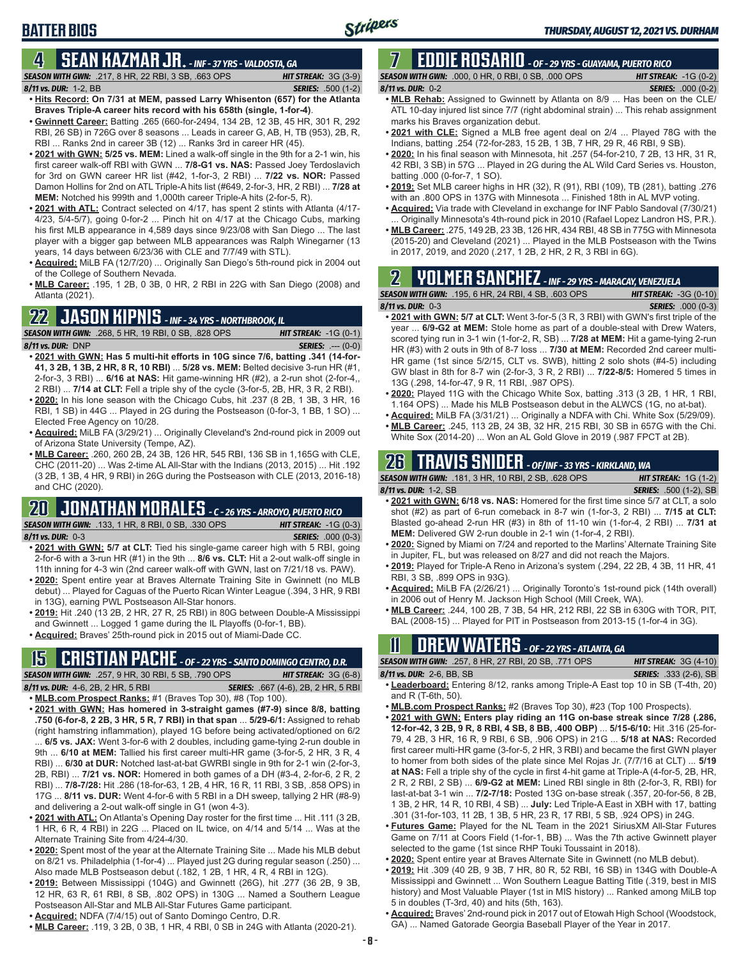## **4 SEAN KAZMAR JR.** *- INF - 37 YRS - VALDOSTA, GA*

**BATTER BIOS**

*SEASON WITH GWN:*.217, 8 HR, 22 RBI, 3 SB, .663 OPS *HIT STREAK:* 3G (3-9) *8/11 vs. DUR:*1-2, BB *SERIES:* .500 (1-2)

- **• Hits Record: On 7/31 at MEM, passed Larry Whisenton (657) for the Atlanta Braves Triple-A career hits record with his 658th (single, 1-for-4)**. **• Gwinnett Career:** Batting .265 (660-for-2494, 134 2B, 12 3B, 45 HR, 301 R, 292
- RBI, 26 SB) in 726G over 8 seasons ... Leads in career G, AB, H, TB (953), 2B, R, RBI ... Ranks 2nd in career 3B (12) ... Ranks 3rd in career HR (45).
- **• 2021 with GWN: 5/25 vs. MEM:** Lined a walk-off single in the 9th for a 2-1 win, his first career walk-off RBI with GWN ... **7/8-G1 vs. NAS:** Passed Joey Terdoslavich for 3rd on GWN career HR list (#42, 1-for-3, 2 RBI) ... **7/22 vs. NOR:** Passed Damon Hollins for 2nd on ATL Triple-A hits list (#649, 2-for-3, HR, 2 RBI) ... **7/28 at MEM:** Notched his 999th and 1,000th career Triple-A hits (2-for-5, R).
- **• 2021 with ATL:** Contract selected on 4/17, has spent 2 stints with Atlanta (4/17- 4/23, 5/4-5/7), going 0-for-2 ... Pinch hit on 4/17 at the Chicago Cubs, marking his first MLB appearance in 4,589 days since 9/23/08 with San Diego ... The last player with a bigger gap between MLB appearances was Ralph Winegarner (13 years, 14 days between 6/23/36 with CLE and 7/7/49 with STL).
- **• Acquired:** MiLB FA (12/7/20) ... Originally San Diego's 5th-round pick in 2004 out of the College of Southern Nevada.
- **• MLB Career:** .195, 1 2B, 0 3B, 0 HR, 2 RBI in 22G with San Diego (2008) and Atlanta (2021).

#### **22 JASON KIPNIS** *- INF - 34 YRS - NORTHBROOK, IL*

*SEASON WITH GWN:*.268, 5 HR, 19 RBI, 0 SB, .828 OPS *HIT STREAK:* -1G (0-1) *8/11 vs. DUR:*DNP *SERIES:* .--- (0-0)

- **• 2021 with GWN: Has 5 multi-hit efforts in 10G since 7/6, batting .341 (14-for-41, 3 2B, 1 3B, 2 HR, 8 R, 10 RBI)** ... **5/28 vs. MEM:** Belted decisive 3-run HR (#1, 2-for-3, 3 RBI) ... **6/16 at NAS:** Hit game-winning HR (#2), a 2-run shot (2-for-4,, 2 RBI) ... **7/14 at CLT:** Fell a triple shy of the cycle (3-for-5, 2B, HR, 3 R, 2 RBI).
- **• 2020:** In his lone season with the Chicago Cubs, hit .237 (8 2B, 1 3B, 3 HR, 16 RBI, 1 SB) in 44G ... Played in 2G during the Postseason (0-for-3, 1 BB, 1 SO) ... Elected Free Agency on 10/28.
- **• Acquired:** MiLB FA (3/29/21) ... Originally Cleveland's 2nd-round pick in 2009 out of Arizona State University (Tempe, AZ).
- **• MLB Career:** .260, 260 2B, 24 3B, 126 HR, 545 RBI, 136 SB in 1,165G with CLE, CHC (2011-20) ... Was 2-time AL All-Star with the Indians (2013, 2015) ... Hit .192 (3 2B, 1 3B, 4 HR, 9 RBI) in 26G during the Postseason with CLE (2013, 2016-18) and CHC (2020).

### **20 JONATHAN MORALES** *- C - 26 YRS - ARROYO, PUERTO RICO*

*SEASON WITH GWN:*.133, 1 HR, 8 RBI, 0 SB, .330 OPS *HIT STREAK:* -1G (0-3)

*8/11 vs. DUR:*0-3 *SERIES:* .000 (0-3)

- **• 2021 with GWN: 5/7 at CLT:** Tied his single-game career high with 5 RBI, going 2-for-6 with a 3-run HR (#1) in the 9th ... **8/6 vs. CLT:** Hit a 2-out walk-off single in 11th inning for 4-3 win (2nd career walk-off with GWN, last on 7/21/18 vs. PAW).
- **• 2020:** Spent entire year at Braves Alternate Training Site in Gwinnett (no MLB debut) ... Played for Caguas of the Puerto Rican Winter League (.394, 3 HR, 9 RBI in 13G), earning PWL Postseason All-Star honors.
- **• 2019:** Hit .240 (13 2B, 2 HR, 27 R, 25 RBI) in 80G between Double-A Mississippi and Gwinnett ... Logged 1 game during the IL Playoffs (0-for-1, BB).
- **• Acquired:** Braves' 25th-round pick in 2015 out of Miami-Dade CC.

## **15 CRISTIAN PACHE** *- OF - 22 YRS - SANTO DOMINGO CENTRO, D.R.*

*SEASON WITH GWN:*.257, 9 HR, 30 RBI, 5 SB, .790 OPS *HIT STREAK:* 3G (6-8) *8/11 vs. DUR:* 4-6, 2B, 2 HR, 5 RBI *SERIES:* .667 (4-6), 2B, 2 HR, 5 RBI **• MLB.com Prospect Ranks:** #1 (Braves Top 30), #8 (Top 100).

- **• 2021 with GWN: Has homered in 3-straight games (#7-9) since 8/8, batting .750 (6-for-8, 2 2B, 3 HR, 5 R, 7 RBI) in that span** ... **5/29-6/1:** Assigned to rehab (right hamstring inflammation), played 1G before being activated/optioned on 6/2 ... **6/5 vs. JAX:** Went 3-for-6 with 2 doubles, including game-tying 2-run double in 9th ... **6/10 at MEM:** Tallied his first career multi-HR game (3-for-5, 2 HR, 3 R, 4 RBI) ... **6/30 at DUR:** Notched last-at-bat GWRBI single in 9th for 2-1 win (2-for-3, 2B, RBI) ... **7/21 vs. NOR:** Homered in both games of a DH (#3-4, 2-for-6, 2 R, 2 RBI) ... **7/8-7/28:** Hit .286 (18-for-63, 1 2B, 4 HR, 16 R, 11 RBI, 3 SB, .858 OPS) in 17G ... **8/11 vs. DUR:** Went 4-for-6 with 5 RBI in a DH sweep, tallying 2 HR (#8-9) and delivering a 2-out walk-off single in G1 (won 4-3).
- **• 2021 with ATL:** On Atlanta's Opening Day roster for the first time ... Hit .111 (3 2B, 1 HR, 6 R, 4 RBI) in 22G ... Placed on IL twice, on 4/14 and 5/14 ... Was at the Alternate Training Site from 4/24-4/30.
- **• 2020:** Spent most of the year at the Alternate Training Site ... Made his MLB debut on 8/21 vs. Philadelphia (1-for-4) ... Played just 2G during regular season (.250) ... Also made MLB Postseason debut (.182, 1 2B, 1 HR, 4 R, 4 RBI in 12G).
- **• 2019:** Between Mississippi (104G) and Gwinnett (26G), hit .277 (36 2B, 9 3B, 12 HR, 63 R, 61 RBI, 8 SB, .802 OPS) in 130G ... Named a Southern League Postseason All-Star and MLB All-Star Futures Game participant.
- **• Acquired:** NDFA (7/4/15) out of Santo Domingo Centro, D.R.
- **• MLB Career:** .119, 3 2B, 0 3B, 1 HR, 4 RBI, 0 SB in 24G with Atlanta (2020-21).

#### **7 EDDIE ROSARIO** *- OF - 29 YRS - GUAYAMA, PUERTO RICO SEASON WITH GWN:*.000, 0 HR, 0 RBI, 0 SB, .000 OPS *HIT STREAK:* -1G (0-2)

#### *8/11 vs. DUR:* 0-2 *SERIES:* .000 (0-2)

- **• MLB Rehab:** Assigned to Gwinnett by Atlanta on 8/9 ... Has been on the CLE/ ATL 10-day injured list since 7/7 (right abdominal strain) ... This rehab assignment marks his Braves organization debut.
- **• 2021 with CLE:** Signed a MLB free agent deal on 2/4 ... Played 78G with the Indians, batting .254 (72-for-283, 15 2B, 1 3B, 7 HR, 29 R, 46 RBI, 9 SB).
- **• 2020:** In his final season with Minnesota, hit .257 (54-for-210, 7 2B, 13 HR, 31 R, 42 RBI, 3 SB) in 57G ... Played in 2G during the AL Wild Card Series vs. Houston, batting .000 (0-for-7, 1 SO).
- **• 2019:** Set MLB career highs in HR (32), R (91), RBI (109), TB (281), batting .276 with an .800 OPS in 137G with Minnesota ... Finished 18th in AL MVP voting.
- **• Acquired:** Via trade with Cleveland in exchange for INF Pablo Sandoval (7/30/21) Originally Minnesota's 4th-round pick in 2010 (Rafael Lopez Landron HS, P.R.).
- **• MLB Career:** .275, 149 2B, 23 3B, 126 HR, 434 RBI, 48 SB in 775G with Minnesota (2015-20) and Cleveland (2021) ... Played in the MLB Postseason with the Twins in 2017, 2019, and 2020 (.217, 1 2B, 2 HR, 2 R, 3 RBI in 6G).

## **2 YOLMER SANCHEZ** *- INF - 29 YRS - MARACAY, VENEZUELA*

#### *SEASON WITH GWN:*.195, 6 HR, 24 RBI, 4 SB, .603 OPS *HIT STREAK:* -3G (0-10) *8/11 vs. DUR:*0-3 *SERIES:* .000 (0-3) **• 2021 with GWN: 5/7 at CLT:** Went 3-for-5 (3 R, 3 RBI) with GWN's first triple of the

- year ... **6/9-G2 at MEM:** Stole home as part of a double-steal with Drew Waters, scored tying run in 3-1 win (1-for-2, R, SB) ... **7/28 at MEM:** Hit a game-tying 2-run HR (#3) with 2 outs in 9th of 8-7 loss ... **7/30 at MEM:** Recorded 2nd career multi-HR game (1st since 5/2/15, CLT vs. SWB), hitting 2 solo shots (#4-5) including GW blast in 8th for 8-7 win (2-for-3, 3 R, 2 RBI) ... **7/22-8/5:** Homered 5 times in 13G (.298, 14-for-47, 9 R, 11 RBI, .987 OPS).
- **• 2020:** Played 11G with the Chicago White Sox, batting .313 (3 2B, 1 HR, 1 RBI, 1.164 OPS) ... Made his MLB Postseason debut in the ALWCS (1G, no at-bat).
- **• Acquired:** MiLB FA (3/31/21) ... Originally a NDFA with Chi. White Sox (5/29/09).
- **• MLB Career:** .245, 113 2B, 24 3B, 32 HR, 215 RBI, 30 SB in 657G with the Chi. White Sox (2014-20) ... Won an AL Gold Glove in 2019 (.987 FPCT at 2B).

## **26 TRAVIS SNIDER** *- OF/INF - 33 YRS - KIRKLAND, WA*

| <b>SEASON WITH GWN: .181, 3 HR, 10 RBI, 2 SB, .628 OPS</b>                         | <b>HIT STREAK:</b> $1G(1-2)$  |
|------------------------------------------------------------------------------------|-------------------------------|
| 8/11 vs. DUR: 1-2. SB                                                              | <b>SERIES:</b> .500 (1-2). SB |
| • 2021 with GWN: 6/18 vs. NAS: Homered for the first time since 5/7 at CLT, a solo |                               |

- shot (#2) as part of 6-run comeback in 8-7 win (1-for-3, 2 RBI) ... **7/15 at CLT:** Blasted go-ahead 2-run HR (#3) in 8th of 11-10 win (1-for-4, 2 RBI) ... **7/31 at MEM:** Delivered GW 2-run double in 2-1 win (1-for-4, 2 RBI).
- **• 2020:** Signed by Miami on 7/24 and reported to the Marlins' Alternate Training Site in Jupiter, FL, but was released on 8/27 and did not reach the Majors.
- **• 2019:** Played for Triple-A Reno in Arizona's system (.294, 22 2B, 4 3B, 11 HR, 41 RBI, 3 SB, .899 OPS in 93G).
- **• Acquired:** MiLB FA (2/26/21) ... Originally Toronto's 1st-round pick (14th overall) in 2006 out of Henry M. Jackson High School (Mill Creek, WA).
- **• MLB Career:** .244, 100 2B, 7 3B, 54 HR, 212 RBI, 22 SB in 630G with TOR, PIT, BAL (2008-15) ... Played for PIT in Postseason from 2013-15 (1-for-4 in 3G).

### **11 Drew WATERS** *- OF - 22 YRS - ATLANTA, GA*

| <b>SEASON WITH GWN:</b> .257, 8 HR, 27 RBI, 20 SB, .771 OPS                      | <b>HIT STREAK: 3G (4-10)</b>  |
|----------------------------------------------------------------------------------|-------------------------------|
| 8/11 vs. DUR: 2-6. BB. SB                                                        | <b>SERIES:</b> .333 (2-6), SB |
| • Leaderhoard: Entering 8/12, ranks among Triple-A East top 10 in SB (T-4th, 20) |                               |

- **• Leaderboard:** Entering 8/12, ranks among Triple-A East top 10 in SB (T-4th, 20) and R (T-6th, 50).
- **• MLB.com Prospect Ranks:** #2 (Braves Top 30), #23 (Top 100 Prospects). **• 2021 with GWN: Enters play riding an 11G on-base streak since 7/28 (.286, 12-for-42, 3 2B, 9 R, 8 RBI, 4 SB, 8 BB, .400 OBP)** ... **5/15-6/10:** Hit .316 (25-for-79, 4 2B, 3 HR, 16 R, 9 RBI, 6 SB, .906 OPS) in 21G ... **5/18 at NAS:** Recorded first career multi-HR game (3-for-5, 2 HR, 3 RBI) and became the first GWN player to homer from both sides of the plate since Mel Rojas Jr. (7/7/16 at CLT) ... **5/19 at NAS:** Fell a triple shy of the cycle in first 4-hit game at Triple-A (4-for-5, 2B, HR, 2 R, 2 RBI, 2 SB) ... **6/9-G2 at MEM:** Lined RBI single in 8th (2-for-3, R, RBI) for last-at-bat 3-1 win ... **7/2-7/18:** Posted 13G on-base streak (.357, 20-for-56, 8 2B, 1 3B, 2 HR, 14 R, 10 RBI, 4 SB) ... **July:** Led Triple-A East in XBH with 17, batting .301 (31-for-103, 11 2B, 1 3B, 5 HR, 23 R, 17 RBI, 5 SB, .924 OPS) in 24G.
- **• Futures Game:** Played for the NL Team in the 2021 SiriusXM All-Star Futures Game on 7/11 at Coors Field (1-for-1, BB) ... Was the 7th active Gwinnett player selected to the game (1st since RHP Touki Toussaint in 2018).
- **• 2020:** Spent entire year at Braves Alternate Site in Gwinnett (no MLB debut).
- **• 2019:** Hit .309 (40 2B, 9 3B, 7 HR, 80 R, 52 RBI, 16 SB) in 134G with Double-A Mississippi and Gwinnett ... Won Southern League Batting Title (.319, best in MIS history) and Most Valuable Player (1st in MIS history) ... Ranked among MiLB top 5 in doubles (T-3rd, 40) and hits (5th, 163).
- **• Acquired:** Braves' 2nd-round pick in 2017 out of Etowah High School (Woodstock, GA) ... Named Gatorade Georgia Baseball Player of the Year in 2017.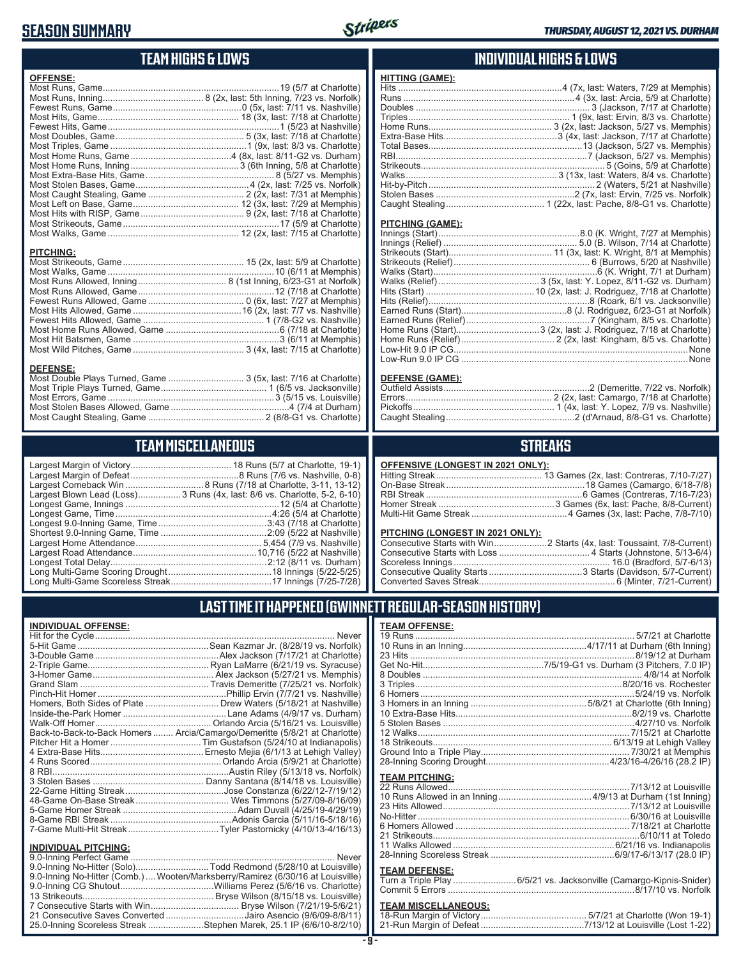### **SEASON SUMMARY**



### **TEAM HIGHS & LOWS**

| <b>OFFENSE:</b>  |  |
|------------------|--|
|                  |  |
|                  |  |
|                  |  |
|                  |  |
|                  |  |
|                  |  |
|                  |  |
|                  |  |
|                  |  |
|                  |  |
|                  |  |
|                  |  |
|                  |  |
|                  |  |
|                  |  |
| <b>PITCHING:</b> |  |
|                  |  |
|                  |  |
|                  |  |
|                  |  |
|                  |  |
|                  |  |
|                  |  |
|                  |  |
|                  |  |
|                  |  |
|                  |  |

#### **DEFENSE:**

| Most Double Plays Turned, Game  3 (5x, last: 7/16 at Charlotte) |  |
|-----------------------------------------------------------------|--|
|                                                                 |  |
|                                                                 |  |
|                                                                 |  |
|                                                                 |  |
|                                                                 |  |

### **TEAM MISCELLANEOUS**

| Largest Blown Lead (Loss)3 Runs (4x, last: 8/6 vs. Charlotte, 5-2, 6-10) |
|--------------------------------------------------------------------------|
|                                                                          |
| Longest Game, Time……………………………………………………4:26 (5/4 at Charlotte)            |
| Longest 9.0-Inning Game, Time……………………………………3:43 (7/18 at Charlotte)      |
|                                                                          |
|                                                                          |
|                                                                          |
|                                                                          |
|                                                                          |
|                                                                          |
|                                                                          |

#### **INDIVIDUAL HIGHS & LOWS**

| <b>HITTING (GAME):</b> |                                                                   |
|------------------------|-------------------------------------------------------------------|
|                        | Hits ……………………………………………………………4 (7x, last: Waters, 7/29 at Memphis) |
|                        |                                                                   |
|                        |                                                                   |
|                        |                                                                   |
|                        |                                                                   |
|                        |                                                                   |
|                        |                                                                   |
|                        |                                                                   |
|                        |                                                                   |
|                        |                                                                   |
|                        |                                                                   |
|                        |                                                                   |
|                        |                                                                   |
|                        |                                                                   |

#### **PITCHING (GAME):**

#### **DEFENSE (GAME):**

#### **STREAKS**

#### **OFFENSIVE (LONGEST IN 2021 ONLY):**

#### **PITCHING (LONGEST IN 2021 ONLY):**

### **LAST TIME IT HAPPENED (GWINNETT REGULAR-SEASON HISTORY)**

#### **INDIVIDUAL OFFENSE:**

|                                                        | Homers, Both Sides of Plate  Drew Waters (5/18/21 at Nashville)            |
|--------------------------------------------------------|----------------------------------------------------------------------------|
|                                                        |                                                                            |
|                                                        |                                                                            |
|                                                        | Back-to-Back-to-Back Homers  Arcia/Camargo/Demeritte (5/8/21 at Charlotte) |
|                                                        |                                                                            |
|                                                        |                                                                            |
|                                                        |                                                                            |
|                                                        |                                                                            |
|                                                        |                                                                            |
|                                                        |                                                                            |
|                                                        |                                                                            |
|                                                        |                                                                            |
|                                                        |                                                                            |
|                                                        |                                                                            |
|                                                        |                                                                            |
| <b>INDIVIDUAL PITCHING:</b><br>0.0 Inning Porfoot Camo | Novor                                                                      |
|                                                        |                                                                            |

| 9.0-Inning No-Hitter (Solo)Todd Redmond (5/28/10 at Louisville)                 |
|---------------------------------------------------------------------------------|
| 9.0-Inning No-Hitter (Comb.)  Wooten/Marksberry/Ramirez (6/30/16 at Louisville) |
|                                                                                 |
|                                                                                 |
|                                                                                 |
| 21 Consecutive Saves Converted Jairo Asencio (9/6/09-8/8/11)                    |
| 25.0-Inning Scoreless Streak Stephen Marek, 25.1 IP (6/6/10-8/2/10)             |
|                                                                                 |

| <b>TEAM OFFENSE:</b>  |  |
|-----------------------|--|
|                       |  |
|                       |  |
|                       |  |
|                       |  |
|                       |  |
|                       |  |
|                       |  |
|                       |  |
|                       |  |
|                       |  |
|                       |  |
|                       |  |
|                       |  |
|                       |  |
| <b>TEAM PITCHING:</b> |  |
|                       |  |
|                       |  |
|                       |  |
|                       |  |

#### **TEAM DEFENSE:**

| Turn a Triple Play 6/5/21 vs. Jacksonville (Camargo-Kipnis-Snider) |  |
|--------------------------------------------------------------------|--|
|                                                                    |  |

| <b>TEAM MISCELLANEOUS:</b> |  |
|----------------------------|--|
|                            |  |
|                            |  |